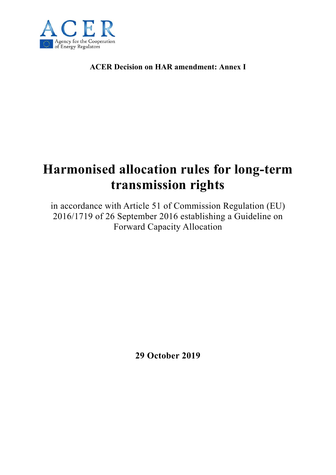

**ACER Decision on HAR amendment: Annex I** 

# **Harmonised allocation rules for long-term transmission rights**

in accordance with Article 51 of Commission Regulation (EU) 2016/1719 of 26 September 2016 establishing a Guideline on Forward Capacity Allocation

**29 October 2019**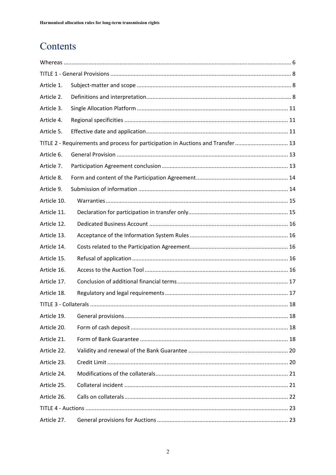# Contents

| Article 1.  |                                                                                  |  |  |  |
|-------------|----------------------------------------------------------------------------------|--|--|--|
| Article 2.  |                                                                                  |  |  |  |
| Article 3.  |                                                                                  |  |  |  |
| Article 4.  |                                                                                  |  |  |  |
| Article 5.  |                                                                                  |  |  |  |
|             | TITLE 2 - Requirements and process for participation in Auctions and Transfer 13 |  |  |  |
| Article 6.  |                                                                                  |  |  |  |
| Article 7.  |                                                                                  |  |  |  |
| Article 8.  |                                                                                  |  |  |  |
| Article 9.  |                                                                                  |  |  |  |
| Article 10. |                                                                                  |  |  |  |
| Article 11. |                                                                                  |  |  |  |
| Article 12. |                                                                                  |  |  |  |
| Article 13. |                                                                                  |  |  |  |
| Article 14. |                                                                                  |  |  |  |
| Article 15. |                                                                                  |  |  |  |
| Article 16. |                                                                                  |  |  |  |
| Article 17. |                                                                                  |  |  |  |
| Article 18. |                                                                                  |  |  |  |
|             |                                                                                  |  |  |  |
| Article 19. |                                                                                  |  |  |  |
| Article 20. |                                                                                  |  |  |  |
| Article 21. |                                                                                  |  |  |  |
| Article 22. |                                                                                  |  |  |  |
| Article 23. |                                                                                  |  |  |  |
| Article 24. |                                                                                  |  |  |  |
| Article 25. |                                                                                  |  |  |  |
| Article 26. |                                                                                  |  |  |  |
|             |                                                                                  |  |  |  |
| Article 27. |                                                                                  |  |  |  |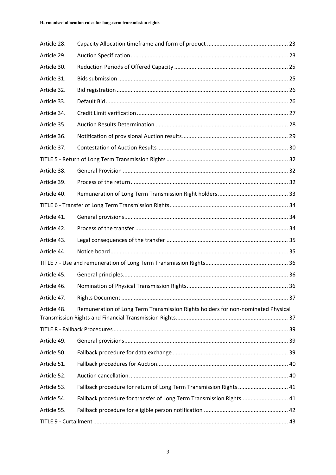| Article 28. |                                                                                  |  |
|-------------|----------------------------------------------------------------------------------|--|
| Article 29. |                                                                                  |  |
| Article 30. |                                                                                  |  |
| Article 31. |                                                                                  |  |
| Article 32. |                                                                                  |  |
| Article 33. |                                                                                  |  |
| Article 34. |                                                                                  |  |
| Article 35. |                                                                                  |  |
| Article 36. |                                                                                  |  |
| Article 37. |                                                                                  |  |
|             |                                                                                  |  |
| Article 38. |                                                                                  |  |
| Article 39. |                                                                                  |  |
| Article 40. |                                                                                  |  |
|             |                                                                                  |  |
| Article 41. |                                                                                  |  |
| Article 42. |                                                                                  |  |
| Article 43. |                                                                                  |  |
| Article 44. |                                                                                  |  |
|             |                                                                                  |  |
| Article 45. |                                                                                  |  |
| Article 46. |                                                                                  |  |
| Article 47. |                                                                                  |  |
| Article 48. | Remuneration of Long Term Transmission Rights holders for non-nominated Physical |  |
|             |                                                                                  |  |
| Article 49. |                                                                                  |  |
| Article 50. |                                                                                  |  |
| Article 51. |                                                                                  |  |
| Article 52. |                                                                                  |  |
| Article 53. | Fallback procedure for return of Long Term Transmission Rights  41               |  |
| Article 54. | Fallback procedure for transfer of Long Term Transmission Rights 41              |  |
| Article 55. |                                                                                  |  |
|             |                                                                                  |  |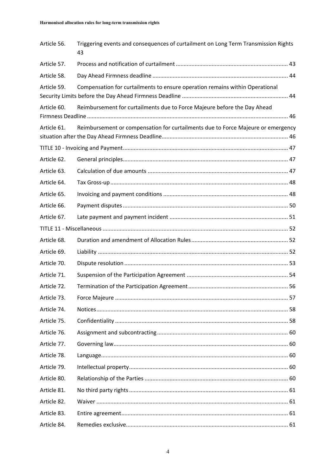| Article 56. | Triggering events and consequences of curtailment on Long Term Transmission Rights<br>43 |  |
|-------------|------------------------------------------------------------------------------------------|--|
| Article 57. |                                                                                          |  |
| Article 58. |                                                                                          |  |
| Article 59. | Compensation for curtailments to ensure operation remains within Operational             |  |
| Article 60. | Reimbursement for curtailments due to Force Majeure before the Day Ahead                 |  |
| Article 61. | Reimbursement or compensation for curtailments due to Force Majeure or emergency         |  |
|             |                                                                                          |  |
| Article 62. |                                                                                          |  |
| Article 63. |                                                                                          |  |
| Article 64. |                                                                                          |  |
| Article 65. |                                                                                          |  |
| Article 66. |                                                                                          |  |
| Article 67. |                                                                                          |  |
|             |                                                                                          |  |
| Article 68. |                                                                                          |  |
| Article 69. |                                                                                          |  |
| Article 70. |                                                                                          |  |
| Article 71. |                                                                                          |  |
| Article 72. |                                                                                          |  |
| Article 73. |                                                                                          |  |
| Article 74. |                                                                                          |  |
| Article 75. |                                                                                          |  |
| Article 76. |                                                                                          |  |
| Article 77. |                                                                                          |  |
| Article 78. |                                                                                          |  |
| Article 79. |                                                                                          |  |
| Article 80. |                                                                                          |  |
| Article 81. |                                                                                          |  |
| Article 82. |                                                                                          |  |
| Article 83. |                                                                                          |  |
| Article 84. |                                                                                          |  |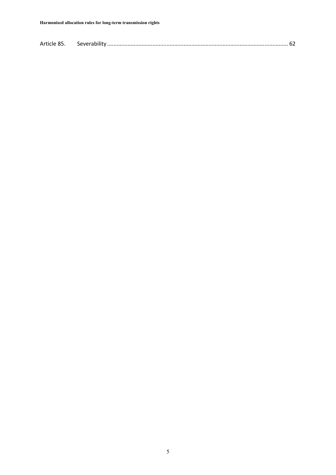| Article 85. |  |  |
|-------------|--|--|
|-------------|--|--|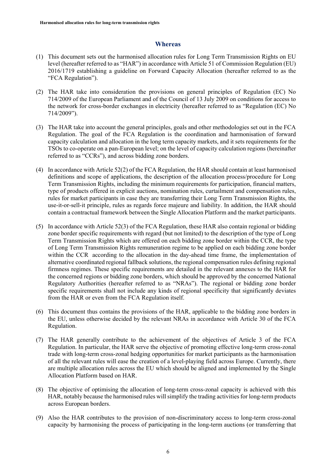#### **Whereas**

- (1) This document sets out the harmonised allocation rules for Long Term Transmission Rights on EU level (hereafter referred to as "HAR") in accordance with Article 51 of Commission Regulation (EU) 2016/1719 establishing a guideline on Forward Capacity Allocation (hereafter referred to as the "FCA Regulation").
- (2) The HAR take into consideration the provisions on general principles of Regulation (EC) No 714/2009 of the European Parliament and of the Council of 13 July 2009 on conditions for access to the network for cross-border exchanges in electricity (hereafter referred to as "Regulation (EC) No 714/2009").
- (3) The HAR take into account the general principles, goals and other methodologies set out in the FCA Regulation. The goal of the FCA Regulation is the coordination and harmonisation of forward capacity calculation and allocation in the long term capacity markets, and it sets requirements for the TSOs to co-operate on a pan-European level; on the level of capacity calculation regions (hereinafter referred to as "CCRs"), and across bidding zone borders.
- (4) In accordance with Article 52(2) of the FCA Regulation, the HAR should contain at least harmonised definitions and scope of applications, the description of the allocation process/procedure for Long Term Transmission Rights, including the minimum requirements for participation, financial matters, type of products offered in explicit auctions, nomination rules, curtailment and compensation rules, rules for market participants in case they are transferring their Long Term Transmission Rights, the use-it-or-sell-it principle, rules as regards force majeure and liability. In addition, the HAR should contain a contractual framework between the Single Allocation Platform and the market participants.
- (5) In accordance with Article 52(3) of the FCA Regulation, these HAR also contain regional or bidding zone border specific requirements with regard (but not limited) to the description of the type of Long Term Transmission Rights which are offered on each bidding zone border within the CCR, the type of Long Term Transmission Rights remuneration regime to be applied on each bidding zone border within the CCR according to the allocation in the day-ahead time frame, the implementation of alternative coordinated regional fallback solutions, the regional compensation rules defining regional firmness regimes. These specific requirements are detailed in the relevant annexes to the HAR for the concerned regions or bidding zone borders, which should be approved by the concerned National Regulatory Authorities (hereafter referred to as "NRAs"). The regional or bidding zone border specific requirements shall not include any kinds of regional specificity that significantly deviates from the HAR or even from the FCA Regulation itself.
- (6) This document thus contains the provisions of the HAR, applicable to the bidding zone borders in the EU, unless otherwise decided by the relevant NRAs in accordance with Article 30 of the FCA Regulation.
- (7) The HAR generally contribute to the achievement of the objectives of Article 3 of the FCA Regulation. In particular, the HAR serve the objective of promoting effective long‐term cross-zonal trade with long‐term cross‐zonal hedging opportunities for market participants as the harmonisation of all the relevant rules will ease the creation of a level‐playing field across Europe. Currently, there are multiple allocation rules across the EU which should be aligned and implemented by the Single Allocation Platform based on HAR.
- (8) The objective of optimising the allocation of long-term cross-zonal capacity is achieved with this HAR, notably because the harmonised rules will simplify the trading activities for long-term products across European borders.
- (9) Also the HAR contributes to the provision of non-discriminatory access to long-term cross-zonal capacity by harmonising the process of participating in the long-term auctions (or transferring that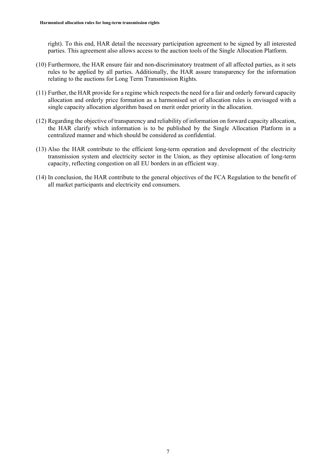right). To this end, HAR detail the necessary participation agreement to be signed by all interested parties. This agreement also allows access to the auction tools of the Single Allocation Platform.

- (10) Furthermore, the HAR ensure fair and non-discriminatory treatment of all affected parties, as it sets rules to be applied by all parties. Additionally, the HAR assure transparency for the information relating to the auctions for Long Term Transmission Rights.
- (11) Further, the HAR provide for a regime which respects the need for a fair and orderly forward capacity allocation and orderly price formation as a harmonised set of allocation rules is envisaged with a single capacity allocation algorithm based on merit order priority in the allocation.
- (12) Regarding the objective of transparency and reliability of information on forward capacity allocation, the HAR clarify which information is to be published by the Single Allocation Platform in a centralized manner and which should be considered as confidential.
- (13) Also the HAR contribute to the efficient long-term operation and development of the electricity transmission system and electricity sector in the Union, as they optimise allocation of long-term capacity, reflecting congestion on all EU borders in an efficient way.
- (14) In conclusion, the HAR contribute to the general objectives of the FCA Regulation to the benefit of all market participants and electricity end consumers.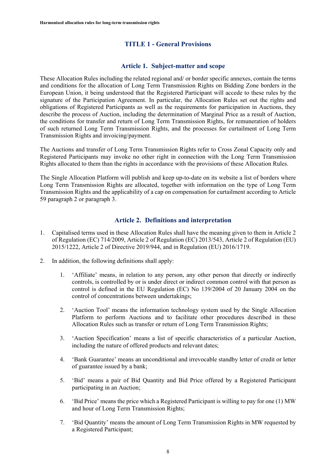# **TITLE 1 - General Provisions**

#### **Article 1. Subject-matter and scope**

These Allocation Rules including the related regional and/ or border specific annexes, contain the terms and conditions for the allocation of Long Term Transmission Rights on Bidding Zone borders in the European Union, it being understood that the Registered Participant will accede to these rules by the signature of the Participation Agreement. In particular, the Allocation Rules set out the rights and obligations of Registered Participants as well as the requirements for participation in Auctions, they describe the process of Auction, including the determination of Marginal Price as a result of Auction, the conditions for transfer and return of Long Term Transmission Rights, for remuneration of holders of such returned Long Term Transmission Rights, and the processes for curtailment of Long Term Transmission Rights and invoicing/payment.

The Auctions and transfer of Long Term Transmission Rights refer to Cross Zonal Capacity only and Registered Participants may invoke no other right in connection with the Long Term Transmission Rights allocated to them than the rights in accordance with the provisions of these Allocation Rules.

The Single Allocation Platform will publish and keep up-to-date on its website a list of borders where Long Term Transmission Rights are allocated, together with information on the type of Long Term Transmission Rights and the applicability of a cap on compensation for curtailment according to Article 59 paragraph 2 or paragraph 3.

#### **Article 2. Definitions and interpretation**

- 1. Capitalised terms used in these Allocation Rules shall have the meaning given to them in Article 2 of Regulation (EC) 714/2009, Article 2 of Regulation (EC) 2013/543, Article 2 of Regulation (EU) 2015/1222, Article 2 of Directive 2019/944, and in Regulation (EU) 2016/1719.
- 2. In addition, the following definitions shall apply:
	- 1. 'Affiliate' means, in relation to any person, any other person that directly or indirectly controls, is controlled by or is under direct or indirect common control with that person as control is defined in the EU Regulation (EC) No 139/2004 of 20 January 2004 on the control of concentrations between undertakings;
	- 2. 'Auction Tool' means the information technology system used by the Single Allocation Platform to perform Auctions and to facilitate other procedures described in these Allocation Rules such as transfer or return of Long Term Transmission Rights;
	- 3. 'Auction Specification' means a list of specific characteristics of a particular Auction, including the nature of offered products and relevant dates;
	- 4. 'Bank Guarantee' means an unconditional and irrevocable standby letter of credit or letter of guarantee issued by a bank;
	- 5. 'Bid' means a pair of Bid Quantity and Bid Price offered by a Registered Participant participating in an Auction;
	- 6. 'Bid Price' means the price which a Registered Participant is willing to pay for one (1) MW and hour of Long Term Transmission Rights;
	- 7. 'Bid Quantity' means the amount of Long Term Transmission Rights in MW requested by a Registered Participant;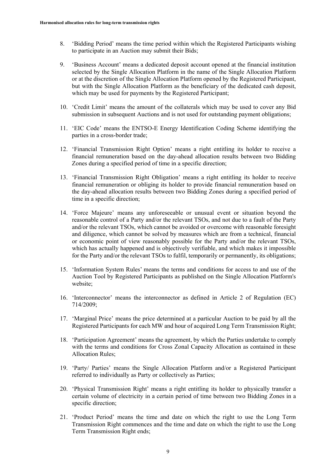- 8. 'Bidding Period' means the time period within which the Registered Participants wishing to participate in an Auction may submit their Bids;
- 9. 'Business Account' means a dedicated deposit account opened at the financial institution selected by the Single Allocation Platform in the name of the Single Allocation Platform or at the discretion of the Single Allocation Platform opened by the Registered Participant, but with the Single Allocation Platform as the beneficiary of the dedicated cash deposit, which may be used for payments by the Registered Participant;
- 10. 'Credit Limit' means the amount of the collaterals which may be used to cover any Bid submission in subsequent Auctions and is not used for outstanding payment obligations;
- 11. 'EIC Code' means the ENTSO-E Energy Identification Coding Scheme identifying the parties in a cross-border trade;
- 12. 'Financial Transmission Right Option' means a right entitling its holder to receive a financial remuneration based on the day-ahead allocation results between two Bidding Zones during a specified period of time in a specific direction;
- 13. 'Financial Transmission Right Obligation' means a right entitling its holder to receive financial remuneration or obliging its holder to provide financial remuneration based on the day-ahead allocation results between two Bidding Zones during a specified period of time in a specific direction;
- 14. 'Force Majeure' means any unforeseeable or unusual event or situation beyond the reasonable control of a Party and/or the relevant TSOs, and not due to a fault of the Party and/or the relevant TSOs, which cannot be avoided or overcome with reasonable foresight and diligence, which cannot be solved by measures which are from a technical, financial or economic point of view reasonably possible for the Party and/or the relevant TSOs, which has actually happened and is objectively verifiable, and which makes it impossible for the Party and/or the relevant TSOs to fulfil, temporarily or permanently, its obligations;
- 15. 'Information System Rules' means the terms and conditions for access to and use of the Auction Tool by Registered Participants as published on the Single Allocation Platform's website;
- 16. 'Interconnector' means the interconnector as defined in Article 2 of Regulation (EC) 714/2009;
- 17. 'Marginal Price' means the price determined at a particular Auction to be paid by all the Registered Participants for each MW and hour of acquired Long Term Transmission Right;
- 18. 'Participation Agreement' means the agreement, by which the Parties undertake to comply with the terms and conditions for Cross Zonal Capacity Allocation as contained in these Allocation Rules;
- 19. 'Party/ Parties' means the Single Allocation Platform and/or a Registered Participant referred to individually as Party or collectively as Parties;
- 20. 'Physical Transmission Right' means a right entitling its holder to physically transfer a certain volume of electricity in a certain period of time between two Bidding Zones in a specific direction;
- 21. 'Product Period' means the time and date on which the right to use the Long Term Transmission Right commences and the time and date on which the right to use the Long Term Transmission Right ends;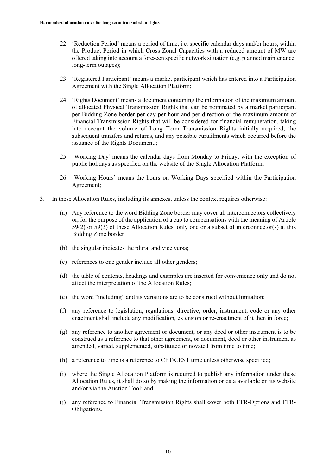- 22. 'Reduction Period' means a period of time, i.e. specific calendar days and/or hours, within the Product Period in which Cross Zonal Capacities with a reduced amount of MW are offered taking into account a foreseen specific network situation (e.g. planned maintenance, long-term outages);
- 23. 'Registered Participant' means a market participant which has entered into a Participation Agreement with the Single Allocation Platform;
- 24. 'Rights Document' means a document containing the information of the maximum amount of allocated Physical Transmission Rights that can be nominated by a market participant per Bidding Zone border per day per hour and per direction or the maximum amount of Financial Transmission Rights that will be considered for financial remuneration, taking into account the volume of Long Term Transmission Rights initially acquired, the subsequent transfers and returns, and any possible curtailments which occurred before the issuance of the Rights Document.;
- 25. 'Working Day' means the calendar days from Monday to Friday, with the exception of public holidays as specified on the website of the Single Allocation Platform;
- 26. 'Working Hours' means the hours on Working Days specified within the Participation Agreement;
- 3. In these Allocation Rules, including its annexes, unless the context requires otherwise:
	- (a) Any reference to the word Bidding Zone border may cover all interconnectors collectively or, for the purpose of the application of a cap to compensations with the meaning of Article 59(2) or 59(3) of these Allocation Rules, only one or a subset of interconnector(s) at this Bidding Zone border
	- (b) the singular indicates the plural and vice versa;
	- (c) references to one gender include all other genders;
	- (d) the table of contents, headings and examples are inserted for convenience only and do not affect the interpretation of the Allocation Rules;
	- (e) the word "including" and its variations are to be construed without limitation;
	- (f) any reference to legislation, regulations, directive, order, instrument, code or any other enactment shall include any modification, extension or re-enactment of it then in force;
	- (g) any reference to another agreement or document, or any deed or other instrument is to be construed as a reference to that other agreement, or document, deed or other instrument as amended, varied, supplemented, substituted or novated from time to time;
	- (h) a reference to time is a reference to CET/CEST time unless otherwise specified;
	- (i) where the Single Allocation Platform is required to publish any information under these Allocation Rules, it shall do so by making the information or data available on its website and/or via the Auction Tool; and
	- (j) any reference to Financial Transmission Rights shall cover both FTR-Options and FTR-Obligations.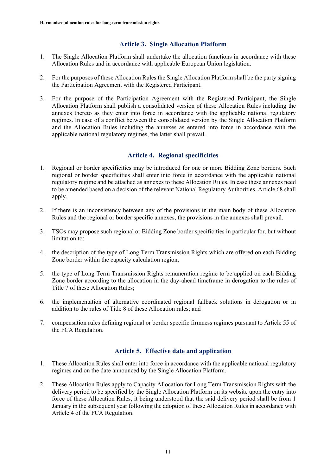#### **Article 3. Single Allocation Platform**

- 1. The Single Allocation Platform shall undertake the allocation functions in accordance with these Allocation Rules and in accordance with applicable European Union legislation.
- 2. For the purposes of these Allocation Rules the Single Allocation Platform shall be the party signing the Participation Agreement with the Registered Participant.
- 3. For the purpose of the Participation Agreement with the Registered Participant, the Single Allocation Platform shall publish a consolidated version of these Allocation Rules including the annexes thereto as they enter into force in accordance with the applicable national regulatory regimes. In case of a conflict between the consolidated version by the Single Allocation Platform and the Allocation Rules including the annexes as entered into force in accordance with the applicable national regulatory regimes, the latter shall prevail.

# **Article 4. Regional specificities**

- 1. Regional or border specificities may be introduced for one or more Bidding Zone borders. Such regional or border specificities shall enter into force in accordance with the applicable national regulatory regime and be attached as annexes to these Allocation Rules. In case these annexes need to be amended based on a decision of the relevant National Regulatory Authorities, Article 68 shall apply.
- 2. If there is an inconsistency between any of the provisions in the main body of these Allocation Rules and the regional or border specific annexes, the provisions in the annexes shall prevail.
- 3. TSOs may propose such regional or Bidding Zone border specificities in particular for, but without limitation to:
- 4. the description of the type of Long Term Transmission Rights which are offered on each Bidding Zone border within the capacity calculation region;
- 5. the type of Long Term Transmission Rights remuneration regime to be applied on each Bidding Zone border according to the allocation in the day-ahead timeframe in derogation to the rules of Title 7 of these Allocation Rules;
- 6. the implementation of alternative coordinated regional fallback solutions in derogation or in addition to the rules of Title 8 of these Allocation rules; and
- 7. compensation rules defining regional or border specific firmness regimes pursuant to Article 55 of the FCA Regulation.

#### **Article 5. Effective date and application**

- 1. These Allocation Rules shall enter into force in accordance with the applicable national regulatory regimes and on the date announced by the Single Allocation Platform.
- 2. These Allocation Rules apply to Capacity Allocation for Long Term Transmission Rights with the delivery period to be specified by the Single Allocation Platform on its website upon the entry into force of these Allocation Rules, it being understood that the said delivery period shall be from 1 January in the subsequent year following the adoption of these Allocation Rules in accordance with Article 4 of the FCA Regulation.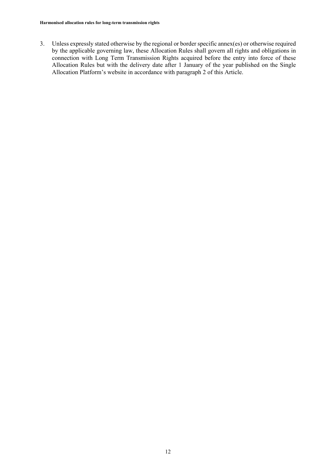3. Unless expressly stated otherwise by the regional or border specific annex(es) or otherwise required by the applicable governing law, these Allocation Rules shall govern all rights and obligations in connection with Long Term Transmission Rights acquired before the entry into force of these Allocation Rules but with the delivery date after 1 January of the year published on the Single Allocation Platform's website in accordance with paragraph 2 of this Article.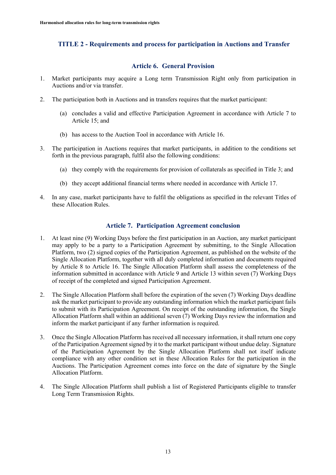# **TITLE 2 - Requirements and process for participation in Auctions and Transfer**

#### **Article 6. General Provision**

- 1. Market participants may acquire a Long term Transmission Right only from participation in Auctions and/or via transfer.
- 2. The participation both in Auctions and in transfers requires that the market participant:
	- (a) concludes a valid and effective Participation Agreement in accordance with Article 7 to Article 15; and
	- (b) has access to the Auction Tool in accordance with Article 16.
- 3. The participation in Auctions requires that market participants, in addition to the conditions set forth in the previous paragraph, fulfil also the following conditions:
	- (a) they comply with the requirements for provision of collaterals as specified in Title 3; and
	- (b) they accept additional financial terms where needed in accordance with Article 17.
- 4. In any case, market participants have to fulfil the obligations as specified in the relevant Titles of these Allocation Rules.

# **Article 7. Participation Agreement conclusion**

- 1. At least nine (9) Working Days before the first participation in an Auction, any market participant may apply to be a party to a Participation Agreement by submitting, to the Single Allocation Platform, two (2) signed copies of the Participation Agreement, as published on the website of the Single Allocation Platform, together with all duly completed information and documents required by Article 8 to Article 16. The Single Allocation Platform shall assess the completeness of the information submitted in accordance with Article 9 and Article 13 within seven (7) Working Days of receipt of the completed and signed Participation Agreement.
- 2. The Single Allocation Platform shall before the expiration of the seven (7) Working Days deadline ask the market participant to provide any outstanding information which the market participant fails to submit with its Participation Agreement. On receipt of the outstanding information, the Single Allocation Platform shall within an additional seven (7) Working Days review the information and inform the market participant if any further information is required.
- 3. Once the Single Allocation Platform has received all necessary information, it shall return one copy of the Participation Agreement signed by it to the market participant without undue delay. Signature of the Participation Agreement by the Single Allocation Platform shall not itself indicate compliance with any other condition set in these Allocation Rules for the participation in the Auctions. The Participation Agreement comes into force on the date of signature by the Single Allocation Platform.
- 4. The Single Allocation Platform shall publish a list of Registered Participants eligible to transfer Long Term Transmission Rights.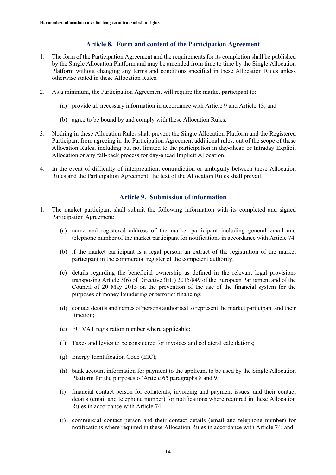#### **Article 8. Form and content of the Participation Agreement**

- 1. The form of the Participation Agreement and the requirements for its completion shall be published by the Single Allocation Platform and may be amended from time to time by the Single Allocation Platform without changing any terms and conditions specified in these Allocation Rules unless otherwise stated in these Allocation Rules.
- 2. As a minimum, the Participation Agreement will require the market participant to:
	- (a) provide all necessary information in accordance with Article 9 and Article 13; and
	- (b) agree to be bound by and comply with these Allocation Rules.
- 3. Nothing in these Allocation Rules shall prevent the Single Allocation Platform and the Registered Participant from agreeing in the Participation Agreement additional rules, out of the scope of these Allocation Rules, including but not limited to the participation in day-ahead or Intraday Explicit Allocation or any fall-back process for day-ahead Implicit Allocation.
- 4. In the event of difficulty of interpretation, contradiction or ambiguity between these Allocation Rules and the Participation Agreement, the text of the Allocation Rules shall prevail.

#### **Article 9. Submission of information**

- 1. The market participant shall submit the following information with its completed and signed Participation Agreement:
	- (a) name and registered address of the market participant including general email and telephone number of the market participant for notifications in accordance with Article 74.
	- (b) if the market participant is a legal person, an extract of the registration of the market participant in the commercial register of the competent authority;
	- (c) details regarding the beneficial ownership as defined in the relevant legal provisions transposing Article 3(6) of Directive (EU) 2015/849 of the European Parliament and of the Council of 20 May 2015 on the prevention of the use of the financial system for the purposes of money laundering or terrorist financing;
	- (d) contact details and names of persons authorised to represent the market participant and their function;
	- (e) EU VAT registration number where applicable;
	- (f) Taxes and levies to be considered for invoices and collateral calculations;
	- (g) Energy Identification Code (EIC);
	- (h) bank account information for payment to the applicant to be used by the Single Allocation Platform for the purposes of Article 65 paragraphs 8 and 9.
	- (i) financial contact person for collaterals, invoicing and payment issues, and their contact details (email and telephone number) for notifications where required in these Allocation Rules in accordance with Article 74;
	- (j) commercial contact person and their contact details (email and telephone number) for notifications where required in these Allocation Rules in accordance with Article 74; and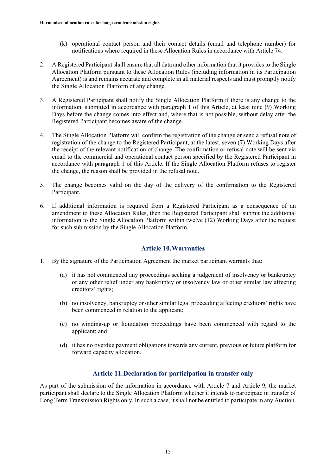- (k) operational contact person and their contact details (email and telephone number) for notifications where required in these Allocation Rules in accordance with Article 74.
- 2. A Registered Participant shall ensure that all data and other information that it provides to the Single Allocation Platform pursuant to these Allocation Rules (including information in its Participation Agreement) is and remains accurate and complete in all material respects and must promptly notify the Single Allocation Platform of any change.
- 3. A Registered Participant shall notify the Single Allocation Platform if there is any change to the information, submitted in accordance with paragraph 1 of this Article, at least nine (9) Working Days before the change comes into effect and, where that is not possible, without delay after the Registered Participant becomes aware of the change.
- 4. The Single Allocation Platform will confirm the registration of the change or send a refusal note of registration of the change to the Registered Participant, at the latest, seven (7) Working Days after the receipt of the relevant notification of change. The confirmation or refusal note will be sent via email to the commercial and operational contact person specified by the Registered Participant in accordance with paragraph 1 of this Article. If the Single Allocation Platform refuses to register the change, the reason shall be provided in the refusal note.
- 5. The change becomes valid on the day of the delivery of the confirmation to the Registered Participant.
- 6. If additional information is required from a Registered Participant as a consequence of an amendment to these Allocation Rules, then the Registered Participant shall submit the additional information to the Single Allocation Platform within twelve (12) Working Days after the request for such submission by the Single Allocation Platform.

#### **Article 10.Warranties**

- 1. By the signature of the Participation Agreement the market participant warrants that:
	- (a) it has not commenced any proceedings seeking a judgement of insolvency or bankruptcy or any other relief under any bankruptcy or insolvency law or other similar law affecting creditors' rights;
	- (b) no insolvency, bankruptcy or other similar legal proceeding affecting creditors' rights have been commenced in relation to the applicant;
	- (c) no winding-up or liquidation proceedings have been commenced with regard to the applicant; and
	- (d) it has no overdue payment obligations towards any current, previous or future platform for forward capacity allocation.

#### **Article 11.Declaration for participation in transfer only**

As part of the submission of the information in accordance with Article 7 and Article 9, the market participant shall declare to the Single Allocation Platform whether it intends to participate in transfer of Long Term Transmission Rights only. In such a case, it shall not be entitled to participate in any Auction.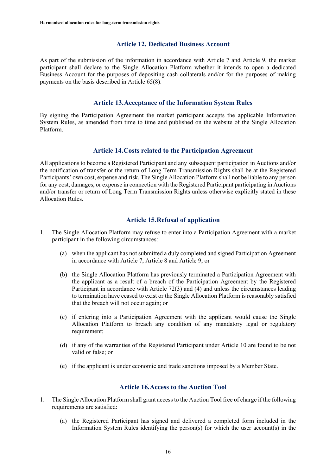#### **Article 12. Dedicated Business Account**

As part of the submission of the information in accordance with Article 7 and Article 9, the market participant shall declare to the Single Allocation Platform whether it intends to open a dedicated Business Account for the purposes of depositing cash collaterals and/or for the purposes of making payments on the basis described in Article 65(8).

#### **Article 13.Acceptance of the Information System Rules**

By signing the Participation Agreement the market participant accepts the applicable Information System Rules, as amended from time to time and published on the website of the Single Allocation Platform.

#### **Article 14.Costs related to the Participation Agreement**

All applications to become a Registered Participant and any subsequent participation in Auctions and/or the notification of transfer or the return of Long Term Transmission Rights shall be at the Registered Participants' own cost, expense and risk. The Single Allocation Platform shall not be liable to any person for any cost, damages, or expense in connection with the Registered Participant participating in Auctions and/or transfer or return of Long Term Transmission Rights unless otherwise explicitly stated in these Allocation Rules.

# **Article 15.Refusal of application**

- 1. The Single Allocation Platform may refuse to enter into a Participation Agreement with a market participant in the following circumstances:
	- (a) when the applicant has not submitted a duly completed and signed Participation Agreement in accordance with Article 7, Article 8 and Article 9; or
	- (b) the Single Allocation Platform has previously terminated a Participation Agreement with the applicant as a result of a breach of the Participation Agreement by the Registered Participant in accordance with Article 72(3) and (4) and unless the circumstances leading to termination have ceased to exist or the Single Allocation Platform is reasonably satisfied that the breach will not occur again; or
	- (c) if entering into a Participation Agreement with the applicant would cause the Single Allocation Platform to breach any condition of any mandatory legal or regulatory requirement;
	- (d) if any of the warranties of the Registered Participant under Article 10 are found to be not valid or false; or
	- (e) if the applicant is under economic and trade sanctions imposed by a Member State.

#### **Article 16.Access to the Auction Tool**

- 1. The Single Allocation Platform shall grant access to the Auction Tool free of charge if the following requirements are satisfied:
	- (a) the Registered Participant has signed and delivered a completed form included in the Information System Rules identifying the person(s) for which the user account(s) in the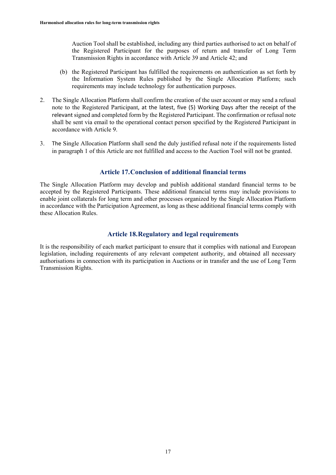Auction Tool shall be established, including any third parties authorised to act on behalf of the Registered Participant for the purposes of return and transfer of Long Term Transmission Rights in accordance with Article 39 and Article 42; and

- (b) the Registered Participant has fulfilled the requirements on authentication as set forth by the Information System Rules published by the Single Allocation Platform; such requirements may include technology for authentication purposes.
- 2. The Single Allocation Platform shall confirm the creation of the user account or may send a refusal note to the Registered Participant, at the latest, five (5) Working Days after the receipt of the relevant signed and completed form by the Registered Participant. The confirmation or refusal note shall be sent via email to the operational contact person specified by the Registered Participant in accordance with Article 9.
- 3. The Single Allocation Platform shall send the duly justified refusal note if the requirements listed in paragraph 1 of this Article are not fulfilled and access to the Auction Tool will not be granted.

#### **Article 17.Conclusion of additional financial terms**

The Single Allocation Platform may develop and publish additional standard financial terms to be accepted by the Registered Participants. These additional financial terms may include provisions to enable joint collaterals for long term and other processes organized by the Single Allocation Platform in accordance with the Participation Agreement, as long as these additional financial terms comply with these Allocation Rules.

#### **Article 18.Regulatory and legal requirements**

It is the responsibility of each market participant to ensure that it complies with national and European legislation, including requirements of any relevant competent authority, and obtained all necessary authorisations in connection with its participation in Auctions or in transfer and the use of Long Term Transmission Rights.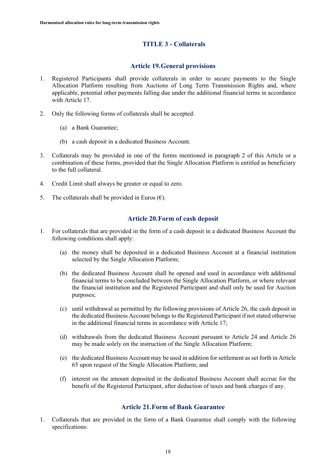# **TITLE 3 - Collaterals**

#### **Article 19.General provisions**

- 1. Registered Participants shall provide collaterals in order to secure payments to the Single Allocation Platform resulting from Auctions of Long Term Transmission Rights and, where applicable, potential other payments falling due under the additional financial terms in accordance with Article 17.
- 2. Only the following forms of collaterals shall be accepted:
	- (a) a Bank Guarantee;
	- (b) a cash deposit in a dedicated Business Account.
- 3. Collaterals may be provided in one of the forms mentioned in paragraph 2 of this Article or a combination of these forms, provided that the Single Allocation Platform is entitled as beneficiary to the full collateral.
- 4. Credit Limit shall always be greater or equal to zero.
- 5. The collaterals shall be provided in Euros  $(\epsilon)$ .

#### **Article 20.Form of cash deposit**

- 1. For collaterals that are provided in the form of a cash deposit in a dedicated Business Account the following conditions shall apply:
	- (a) the money shall be deposited in a dedicated Business Account at a financial institution selected by the Single Allocation Platform;
	- (b) the dedicated Business Account shall be opened and used in accordance with additional financial terms to be concluded between the Single Allocation Platform, or where relevant the financial institution and the Registered Participant and shall only be used for Auction purposes;
	- (c) until withdrawal as permitted by the following provisions of Article 26, the cash deposit in the dedicated Business Account belongs to the Registered Participant if not stated otherwise in the additional financial terms in accordance with Article 17;
	- (d) withdrawals from the dedicated Business Account pursuant to Article 24 and Article 26 may be made solely on the instruction of the Single Allocation Platform;
	- (e) the dedicated Business Account may be used in addition for settlement as set forth in Article 65 upon request of the Single Allocation Platform; and
	- (f) interest on the amount deposited in the dedicated Business Account shall accrue for the benefit of the Registered Participant, after deduction of taxes and bank charges if any.

#### **Article 21.Form of Bank Guarantee**

1. Collaterals that are provided in the form of a Bank Guarantee shall comply with the following specifications: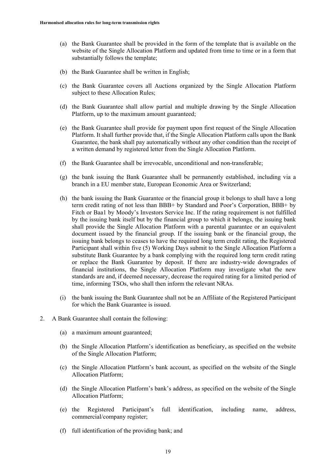- (a) the Bank Guarantee shall be provided in the form of the template that is available on the website of the Single Allocation Platform and updated from time to time or in a form that substantially follows the template;
- (b) the Bank Guarantee shall be written in English;
- (c) the Bank Guarantee covers all Auctions organized by the Single Allocation Platform subject to these Allocation Rules;
- (d) the Bank Guarantee shall allow partial and multiple drawing by the Single Allocation Platform, up to the maximum amount guaranteed;
- (e) the Bank Guarantee shall provide for payment upon first request of the Single Allocation Platform. It shall further provide that, if the Single Allocation Platform calls upon the Bank Guarantee, the bank shall pay automatically without any other condition than the receipt of a written demand by registered letter from the Single Allocation Platform.
- (f) the Bank Guarantee shall be irrevocable, unconditional and non-transferable;
- (g) the bank issuing the Bank Guarantee shall be permanently established, including via a branch in a EU member state, European Economic Area or Switzerland;
- (h) the bank issuing the Bank Guarantee or the financial group it belongs to shall have a long term credit rating of not less than BBB+ by Standard and Poor's Corporation, BBB+ by Fitch or Baa1 by Moody's Investors Service Inc. If the rating requirement is not fulfilled by the issuing bank itself but by the financial group to which it belongs, the issuing bank shall provide the Single Allocation Platform with a parental guarantee or an equivalent document issued by the financial group. If the issuing bank or the financial group, the issuing bank belongs to ceases to have the required long term credit rating, the Registered Participant shall within five (5) Working Days submit to the Single Allocation Platform a substitute Bank Guarantee by a bank complying with the required long term credit rating or replace the Bank Guarantee by deposit. If there are industry-wide downgrades of financial institutions, the Single Allocation Platform may investigate what the new standards are and, if deemed necessary, decrease the required rating for a limited period of time, informing TSOs, who shall then inform the relevant NRAs.
- (i) the bank issuing the Bank Guarantee shall not be an Affiliate of the Registered Participant for which the Bank Guarantee is issued.
- 2. A Bank Guarantee shall contain the following:
	- (a) a maximum amount guaranteed;
	- (b) the Single Allocation Platform's identification as beneficiary, as specified on the website of the Single Allocation Platform;
	- (c) the Single Allocation Platform's bank account, as specified on the website of the Single Allocation Platform;
	- (d) the Single Allocation Platform's bank's address, as specified on the website of the Single Allocation Platform;
	- (e) the Registered Participant's full identification, including name, address, commercial/company register;
	- (f) full identification of the providing bank; and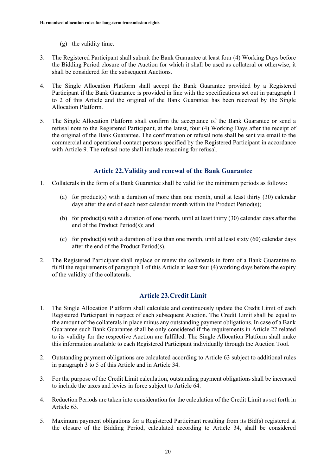- (g) the validity time.
- 3. The Registered Participant shall submit the Bank Guarantee at least four (4) Working Days before the Bidding Period closure of the Auction for which it shall be used as collateral or otherwise, it shall be considered for the subsequent Auctions.
- 4. The Single Allocation Platform shall accept the Bank Guarantee provided by a Registered Participant if the Bank Guarantee is provided in line with the specifications set out in paragraph 1 to 2 of this Article and the original of the Bank Guarantee has been received by the Single Allocation Platform.
- 5. The Single Allocation Platform shall confirm the acceptance of the Bank Guarantee or send a refusal note to the Registered Participant, at the latest, four (4) Working Days after the receipt of the original of the Bank Guarantee. The confirmation or refusal note shall be sent via email to the commercial and operational contact persons specified by the Registered Participant in accordance with Article 9. The refusal note shall include reasoning for refusal.

# **Article 22.Validity and renewal of the Bank Guarantee**

- 1. Collaterals in the form of a Bank Guarantee shall be valid for the minimum periods as follows:
	- (a) for product(s) with a duration of more than one month, until at least thirty  $(30)$  calendar days after the end of each next calendar month within the Product Period(s);
	- (b) for product(s) with a duration of one month, until at least thirty (30) calendar days after the end of the Product Period(s); and
	- (c) for product(s) with a duration of less than one month, until at least sixty  $(60)$  calendar days after the end of the Product Period(s).
- 2. The Registered Participant shall replace or renew the collaterals in form of a Bank Guarantee to fulfil the requirements of paragraph 1 of this Article at least four (4) working days before the expiry of the validity of the collaterals.

# **Article 23.Credit Limit**

- 1. The Single Allocation Platform shall calculate and continuously update the Credit Limit of each Registered Participant in respect of each subsequent Auction. The Credit Limit shall be equal to the amount of the collaterals in place minus any outstanding payment obligations. In case of a Bank Guarantee such Bank Guarantee shall be only considered if the requirements in Article 22 related to its validity for the respective Auction are fulfilled. The Single Allocation Platform shall make this information available to each Registered Participant individually through the Auction Tool.
- 2. Outstanding payment obligations are calculated according to Article 63 subject to additional rules in paragraph 3 to 5 of this Article and in Article 34.
- 3. For the purpose of the Credit Limit calculation, outstanding payment obligations shall be increased to include the taxes and levies in force subject to Article 64.
- 4. Reduction Periods are taken into consideration for the calculation of the Credit Limit as set forth in Article 63.
- 5. Maximum payment obligations for a Registered Participant resulting from its Bid(s) registered at the closure of the Bidding Period, calculated according to Article 34, shall be considered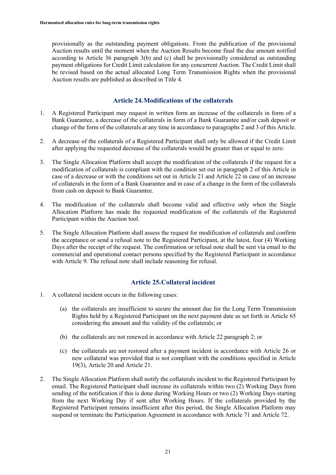provisionally as the outstanding payment obligations. From the publication of the provisional Auction results until the moment when the Auction Results become final the due amount notified according to Article 36 paragraph 3(b) and (c) shall be provisionally considered as outstanding payment obligations for Credit Limit calculation for any concurrent Auction. The Credit Limit shall be revised based on the actual allocated Long Term Transmission Rights when the provisional Auction results are published as described in Title 4.

#### **Article 24.Modifications of the collaterals**

- 1. A Registered Participant may request in written form an increase of the collaterals in form of a Bank Guarantee, a decrease of the collaterals in form of a Bank Guarantee and/or cash deposit or change of the form of the collaterals at any time in accordance to paragraphs 2 and 3 of this Article.
- 2. A decrease of the collaterals of a Registered Participant shall only be allowed if the Credit Limit after applying the requested decrease of the collaterals would be greater than or equal to zero.
- 3. The Single Allocation Platform shall accept the modification of the collaterals if the request for a modification of collaterals is compliant with the condition set out in paragraph 2 of this Article in case of a decrease or with the conditions set out in Article 21 and Article 22 in case of an increase of collaterals in the form of a Bank Guarantee and in case of a change in the form of the collaterals from cash on deposit to Bank Guarantee.
- 4. The modification of the collaterals shall become valid and effective only when the Single Allocation Platform has made the requested modification of the collaterals of the Registered Participant within the Auction tool.
- 5. The Single Allocation Platform shall assess the request for modification of collaterals and confirm the acceptance or send a refusal note to the Registered Participant, at the latest, four (4) Working Days after the receipt of the request. The confirmation or refusal note shall be sent via email to the commercial and operational contact persons specified by the Registered Participant in accordance with Article 9. The refusal note shall include reasoning for refusal.

#### **Article 25.Collateral incident**

- 1. A collateral incident occurs in the following cases:
	- (a) the collaterals are insufficient to secure the amount due for the Long Term Transmission Rights held by a Registered Participant on the next payment date as set forth in Article 65 considering the amount and the validity of the collaterals; or
	- (b) the collaterals are not renewed in accordance with Article 22 paragraph 2; or
	- (c) the collaterals are not restored after a payment incident in accordance with Article 26 or new collateral was provided that is not compliant with the conditions specified in Article 19(3), Article 20 and Article 21.
- 2. The Single Allocation Platform shall notify the collaterals incident to the Registered Participant by email. The Registered Participant shall increase its collaterals within two (2) Working Days from sending of the notification if this is done during Working Hours or two (2) Working Days starting from the next Working Day if sent after Working Hours. If the collaterals provided by the Registered Participant remains insufficient after this period, the Single Allocation Platform may suspend or terminate the Participation Agreement in accordance with Article 71 and Article 72.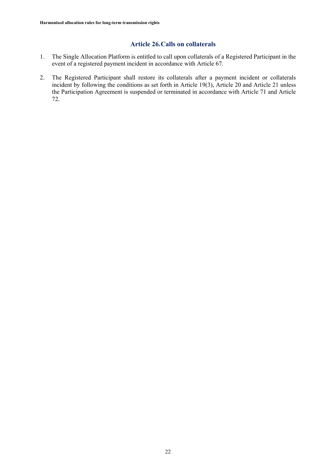#### **Article 26.Calls on collaterals**

- 1. The Single Allocation Platform is entitled to call upon collaterals of a Registered Participant in the event of a registered payment incident in accordance with Article 67.
- 2. The Registered Participant shall restore its collaterals after a payment incident or collaterals incident by following the conditions as set forth in Article 19(3), Article 20 and Article 21 unless the Participation Agreement is suspended or terminated in accordance with Article 71 and Article 72.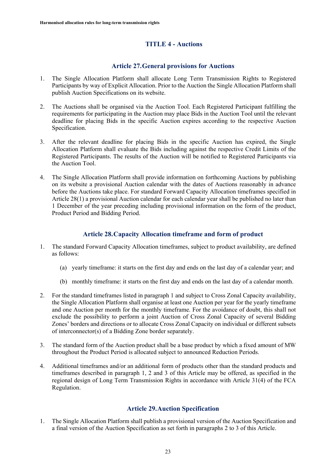# **TITLE 4 - Auctions**

#### **Article 27.General provisions for Auctions**

- 1. The Single Allocation Platform shall allocate Long Term Transmission Rights to Registered Participants by way of Explicit Allocation. Prior to the Auction the Single Allocation Platform shall publish Auction Specifications on its website.
- 2. The Auctions shall be organised via the Auction Tool. Each Registered Participant fulfilling the requirements for participating in the Auction may place Bids in the Auction Tool until the relevant deadline for placing Bids in the specific Auction expires according to the respective Auction Specification.
- 3. After the relevant deadline for placing Bids in the specific Auction has expired, the Single Allocation Platform shall evaluate the Bids including against the respective Credit Limits of the Registered Participants. The results of the Auction will be notified to Registered Participants via the Auction Tool.
- 4. The Single Allocation Platform shall provide information on forthcoming Auctions by publishing on its website a provisional Auction calendar with the dates of Auctions reasonably in advance before the Auctions take place. For standard Forward Capacity Allocation timeframes specified in Article 28(1) a provisional Auction calendar for each calendar year shall be published no later than 1 December of the year preceding including provisional information on the form of the product, Product Period and Bidding Period.

#### **Article 28.Capacity Allocation timeframe and form of product**

- 1. The standard Forward Capacity Allocation timeframes, subject to product availability, are defined as follows:
	- (a) yearly timeframe: it starts on the first day and ends on the last day of a calendar year; and
	- (b) monthly timeframe: it starts on the first day and ends on the last day of a calendar month.
- 2. For the standard timeframes listed in paragraph 1 and subject to Cross Zonal Capacity availability, the Single Allocation Platform shall organise at least one Auction per year for the yearly timeframe and one Auction per month for the monthly timeframe. For the avoidance of doubt, this shall not exclude the possibility to perform a joint Auction of Cross Zonal Capacity of several Bidding Zones' borders and directions or to allocate Cross Zonal Capacity on individual or different subsets of interconnector(s) of a Bidding Zone border separately.
- 3. The standard form of the Auction product shall be a base product by which a fixed amount of MW throughout the Product Period is allocated subject to announced Reduction Periods.
- 4. Additional timeframes and/or an additional form of products other than the standard products and timeframes described in paragraph 1, 2 and 3 of this Article may be offered, as specified in the regional design of Long Term Transmission Rights in accordance with Article 31(4) of the FCA Regulation.

# **Article 29.Auction Specification**

1. The Single Allocation Platform shall publish a provisional version of the Auction Specification and a final version of the Auction Specification as set forth in paragraphs 2 to 3 of this Article.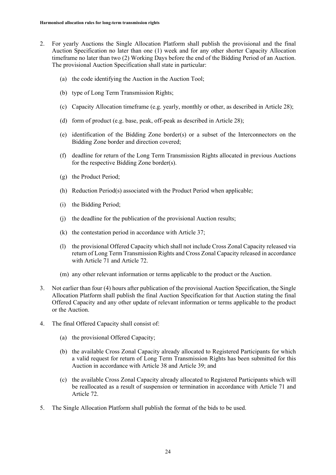- 2. For yearly Auctions the Single Allocation Platform shall publish the provisional and the final Auction Specification no later than one (1) week and for any other shorter Capacity Allocation timeframe no later than two (2) Working Days before the end of the Bidding Period of an Auction. The provisional Auction Specification shall state in particular:
	- (a) the code identifying the Auction in the Auction Tool;
	- (b) type of Long Term Transmission Rights;
	- (c) Capacity Allocation timeframe (e.g. yearly, monthly or other, as described in Article 28);
	- (d) form of product (e.g. base, peak, off-peak as described in Article 28);
	- (e) identification of the Bidding Zone border(s) or a subset of the Interconnectors on the Bidding Zone border and direction covered;
	- (f) deadline for return of the Long Term Transmission Rights allocated in previous Auctions for the respective Bidding Zone border(s).
	- (g) the Product Period;
	- (h) Reduction Period(s) associated with the Product Period when applicable;
	- (i) the Bidding Period;
	- (j) the deadline for the publication of the provisional Auction results;
	- (k) the contestation period in accordance with Article 37;
	- (l) the provisional Offered Capacity which shall not include Cross Zonal Capacity released via return of Long Term Transmission Rights and Cross Zonal Capacity released in accordance with Article 71 and Article 72.
	- (m) any other relevant information or terms applicable to the product or the Auction.
- 3. Not earlier than four (4) hours after publication of the provisional Auction Specification, the Single Allocation Platform shall publish the final Auction Specification for that Auction stating the final Offered Capacity and any other update of relevant information or terms applicable to the product or the Auction.
- 4. The final Offered Capacity shall consist of:
	- (a) the provisional Offered Capacity;
	- (b) the available Cross Zonal Capacity already allocated to Registered Participants for which a valid request for return of Long Term Transmission Rights has been submitted for this Auction in accordance with Article 38 and Article 39; and
	- (c) the available Cross Zonal Capacity already allocated to Registered Participants which will be reallocated as a result of suspension or termination in accordance with Article 71 and Article 72.
- 5. The Single Allocation Platform shall publish the format of the bids to be used.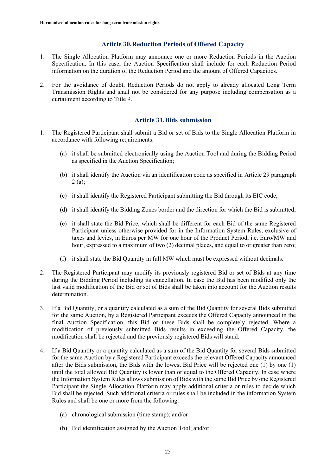#### **Article 30.Reduction Periods of Offered Capacity**

- 1. The Single Allocation Platform may announce one or more Reduction Periods in the Auction Specification. In this case, the Auction Specification shall include for each Reduction Period information on the duration of the Reduction Period and the amount of Offered Capacities.
- 2. For the avoidance of doubt, Reduction Periods do not apply to already allocated Long Term Transmission Rights and shall not be considered for any purpose including compensation as a curtailment according to Title 9.

#### **Article 31.Bids submission**

- 1. The Registered Participant shall submit a Bid or set of Bids to the Single Allocation Platform in accordance with following requirements:
	- (a) it shall be submitted electronically using the Auction Tool and during the Bidding Period as specified in the Auction Specification;
	- (b) it shall identify the Auction via an identification code as specified in Article 29 paragraph 2 (a);
	- (c) it shall identify the Registered Participant submitting the Bid through its EIC code;
	- (d) it shall identify the Bidding Zones border and the direction for which the Bid is submitted;
	- (e) it shall state the Bid Price, which shall be different for each Bid of the same Registered Participant unless otherwise provided for in the Information System Rules, exclusive of taxes and levies, in Euros per MW for one hour of the Product Period, i.e. Euro/MW and hour, expressed to a maximum of two (2) decimal places, and equal to or greater than zero;
	- (f) it shall state the Bid Quantity in full MW which must be expressed without decimals.
- 2. The Registered Participant may modify its previously registered Bid or set of Bids at any time during the Bidding Period including its cancellation. In case the Bid has been modified only the last valid modification of the Bid or set of Bids shall be taken into account for the Auction results determination.
- 3. If a Bid Quantity, or a quantity calculated as a sum of the Bid Quantity for several Bids submitted for the same Auction, by a Registered Participant exceeds the Offered Capacity announced in the final Auction Specification, this Bid or these Bids shall be completely rejected. Where a modification of previously submitted Bids results in exceeding the Offered Capacity, the modification shall be rejected and the previously registered Bids will stand.
- 4. If a Bid Quantity or a quantity calculated as a sum of the Bid Quantity for several Bids submitted for the same Auction by a Registered Participant exceeds the relevant Offered Capacity announced after the Bids submission, the Bids with the lowest Bid Price will be rejected one (1) by one (1) until the total allowed Bid Quantity is lower than or equal to the Offered Capacity. In case where the Information System Rules allows submission of Bids with the same Bid Price by one Registered Participant the Single Allocation Platform may apply additional criteria or rules to decide which Bid shall be rejected. Such additional criteria or rules shall be included in the information System Rules and shall be one or more from the following:
	- (a) chronological submission (time stamp); and/or
	- (b) Bid identification assigned by the Auction Tool; and/or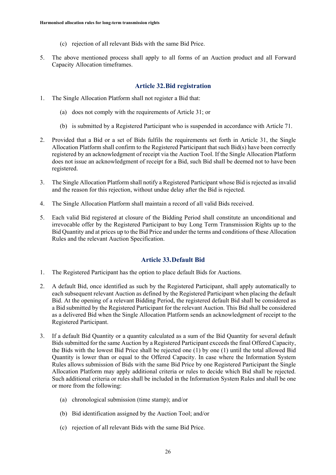- (c) rejection of all relevant Bids with the same Bid Price.
- 5. The above mentioned process shall apply to all forms of an Auction product and all Forward Capacity Allocation timeframes.

#### **Article 32.Bid registration**

- 1. The Single Allocation Platform shall not register a Bid that:
	- (a) does not comply with the requirements of Article 31; or
	- (b) is submitted by a Registered Participant who is suspended in accordance with Article 71.
- 2. Provided that a Bid or a set of Bids fulfils the requirements set forth in Article 31, the Single Allocation Platform shall confirm to the Registered Participant that such Bid(s) have been correctly registered by an acknowledgment of receipt via the Auction Tool. If the Single Allocation Platform does not issue an acknowledgment of receipt for a Bid, such Bid shall be deemed not to have been registered.
- 3. The Single Allocation Platform shall notify a Registered Participant whose Bid is rejected as invalid and the reason for this rejection, without undue delay after the Bid is rejected.
- 4. The Single Allocation Platform shall maintain a record of all valid Bids received.
- 5. Each valid Bid registered at closure of the Bidding Period shall constitute an unconditional and irrevocable offer by the Registered Participant to buy Long Term Transmission Rights up to the Bid Quantity and at prices up to the Bid Price and under the terms and conditions of these Allocation Rules and the relevant Auction Specification.

#### **Article 33.Default Bid**

- 1. The Registered Participant has the option to place default Bids for Auctions.
- 2. A default Bid, once identified as such by the Registered Participant, shall apply automatically to each subsequent relevant Auction as defined by the Registered Participant when placing the default Bid. At the opening of a relevant Bidding Period, the registered default Bid shall be considered as a Bid submitted by the Registered Participant for the relevant Auction. This Bid shall be considered as a delivered Bid when the Single Allocation Platform sends an acknowledgment of receipt to the Registered Participant.
- 3. If a default Bid Quantity or a quantity calculated as a sum of the Bid Quantity for several default Bids submitted for the same Auction by a Registered Participant exceeds the final Offered Capacity, the Bids with the lowest Bid Price shall be rejected one (1) by one (1) until the total allowed Bid Quantity is lower than or equal to the Offered Capacity. In case where the Information System Rules allows submission of Bids with the same Bid Price by one Registered Participant the Single Allocation Platform may apply additional criteria or rules to decide which Bid shall be rejected. Such additional criteria or rules shall be included in the Information System Rules and shall be one or more from the following:
	- (a) chronological submission (time stamp); and/or
	- (b) Bid identification assigned by the Auction Tool; and/or
	- (c) rejection of all relevant Bids with the same Bid Price.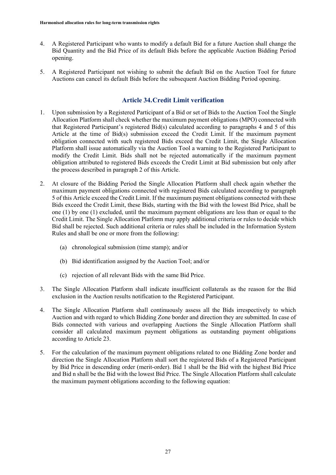- 4. A Registered Participant who wants to modify a default Bid for a future Auction shall change the Bid Quantity and the Bid Price of its default Bids before the applicable Auction Bidding Period opening.
- 5. A Registered Participant not wishing to submit the default Bid on the Auction Tool for future Auctions can cancel its default Bids before the subsequent Auction Bidding Period opening.

# **Article 34.Credit Limit verification**

- 1. Upon submission by a Registered Participant of a Bid or set of Bids to the Auction Tool the Single Allocation Platform shall check whether the maximum payment obligations (MPO) connected with that Registered Participant's registered Bid(s) calculated according to paragraphs 4 and 5 of this Article at the time of Bid(s) submission exceed the Credit Limit. If the maximum payment obligation connected with such registered Bids exceed the Credit Limit, the Single Allocation Platform shall issue automatically via the Auction Tool a warning to the Registered Participant to modify the Credit Limit. Bids shall not be rejected automatically if the maximum payment obligation attributed to registered Bids exceeds the Credit Limit at Bid submission but only after the process described in paragraph 2 of this Article.
- 2. At closure of the Bidding Period the Single Allocation Platform shall check again whether the maximum payment obligations connected with registered Bids calculated according to paragraph 5 of this Article exceed the Credit Limit. If the maximum payment obligations connected with these Bids exceed the Credit Limit, these Bids, starting with the Bid with the lowest Bid Price, shall be one (1) by one (1) excluded, until the maximum payment obligations are less than or equal to the Credit Limit. The Single Allocation Platform may apply additional criteria or rules to decide which Bid shall be rejected. Such additional criteria or rules shall be included in the Information System Rules and shall be one or more from the following:
	- (a) chronological submission (time stamp); and/or
	- (b) Bid identification assigned by the Auction Tool; and/or
	- (c) rejection of all relevant Bids with the same Bid Price.
- 3. The Single Allocation Platform shall indicate insufficient collaterals as the reason for the Bid exclusion in the Auction results notification to the Registered Participant.
- 4. The Single Allocation Platform shall continuously assess all the Bids irrespectively to which Auction and with regard to which Bidding Zone border and direction they are submitted. In case of Bids connected with various and overlapping Auctions the Single Allocation Platform shall consider all calculated maximum payment obligations as outstanding payment obligations according to Article 23.
- 5. For the calculation of the maximum payment obligations related to one Bidding Zone border and direction the Single Allocation Platform shall sort the registered Bids of a Registered Participant by Bid Price in descending order (merit-order). Bid 1 shall be the Bid with the highest Bid Price and Bid n shall be the Bid with the lowest Bid Price. The Single Allocation Platform shall calculate the maximum payment obligations according to the following equation: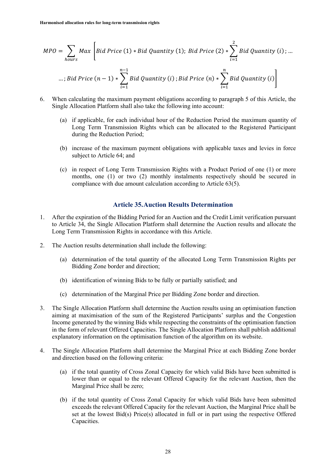$$
MPO = \sum_{hours} Max \left[ Bid \, Price \, (1) * Bid \, Quantity \, (1); \, Bid \, Price \, (2) * \sum_{i=1}^{2} Bid \, Quantity \, (i); \, ...
$$
\n
$$
\dots; Bid \, Price \, (n-1) * \sum_{i=1}^{n-1} Bid \, Quantity \, (i); Bid \, Price \, (n) * \sum_{i=1}^{n} Bid \, Quantity \, (i)
$$

- 6. When calculating the maximum payment obligations according to paragraph 5 of this Article, the Single Allocation Platform shall also take the following into account:
	- (a) if applicable, for each individual hour of the Reduction Period the maximum quantity of Long Term Transmission Rights which can be allocated to the Registered Participant during the Reduction Period;
	- (b) increase of the maximum payment obligations with applicable taxes and levies in force subject to Article 64; and
	- (c) in respect of Long Term Transmission Rights with a Product Period of one (1) or more months, one (1) or two (2) monthly instalments respectively should be secured in compliance with due amount calculation according to Article 63(5).

#### **Article 35.Auction Results Determination**

- 1. After the expiration of the Bidding Period for an Auction and the Credit Limit verification pursuant to Article 34, the Single Allocation Platform shall determine the Auction results and allocate the Long Term Transmission Rights in accordance with this Article.
- 2. The Auction results determination shall include the following:
	- (a) determination of the total quantity of the allocated Long Term Transmission Rights per Bidding Zone border and direction;
	- (b) identification of winning Bids to be fully or partially satisfied; and
	- (c) determination of the Marginal Price per Bidding Zone border and direction.
- 3. The Single Allocation Platform shall determine the Auction results using an optimisation function aiming at maximisation of the sum of the Registered Participants' surplus and the Congestion Income generated by the winning Bids while respecting the constraints of the optimisation function in the form of relevant Offered Capacities. The Single Allocation Platform shall publish additional explanatory information on the optimisation function of the algorithm on its website.
- 4. The Single Allocation Platform shall determine the Marginal Price at each Bidding Zone border and direction based on the following criteria:
	- (a) if the total quantity of Cross Zonal Capacity for which valid Bids have been submitted is lower than or equal to the relevant Offered Capacity for the relevant Auction, then the Marginal Price shall be zero;
	- (b) if the total quantity of Cross Zonal Capacity for which valid Bids have been submitted exceeds the relevant Offered Capacity for the relevant Auction, the Marginal Price shall be set at the lowest Bid(s) Price(s) allocated in full or in part using the respective Offered Capacities.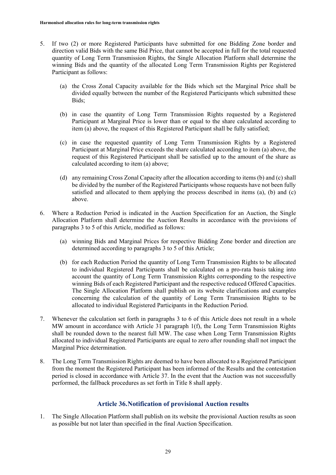- 5. If two (2) or more Registered Participants have submitted for one Bidding Zone border and direction valid Bids with the same Bid Price, that cannot be accepted in full for the total requested quantity of Long Term Transmission Rights, the Single Allocation Platform shall determine the winning Bids and the quantity of the allocated Long Term Transmission Rights per Registered Participant as follows:
	- (a) the Cross Zonal Capacity available for the Bids which set the Marginal Price shall be divided equally between the number of the Registered Participants which submitted these Bids;
	- (b) in case the quantity of Long Term Transmission Rights requested by a Registered Participant at Marginal Price is lower than or equal to the share calculated according to item (a) above, the request of this Registered Participant shall be fully satisfied;
	- (c) in case the requested quantity of Long Term Transmission Rights by a Registered Participant at Marginal Price exceeds the share calculated according to item (a) above, the request of this Registered Participant shall be satisfied up to the amount of the share as calculated according to item (a) above;
	- (d) any remaining Cross Zonal Capacity after the allocation according to items (b) and (c) shall be divided by the number of the Registered Participants whose requests have not been fully satisfied and allocated to them applying the process described in items (a), (b) and (c) above.
- 6. Where a Reduction Period is indicated in the Auction Specification for an Auction, the Single Allocation Platform shall determine the Auction Results in accordance with the provisions of paragraphs 3 to 5 of this Article, modified as follows:
	- (a) winning Bids and Marginal Prices for respective Bidding Zone border and direction are determined according to paragraphs 3 to 5 of this Article;
	- (b) for each Reduction Period the quantity of Long Term Transmission Rights to be allocated to individual Registered Participants shall be calculated on a pro-rata basis taking into account the quantity of Long Term Transmission Rights corresponding to the respective winning Bids of each Registered Participant and the respective reduced Offered Capacities. The Single Allocation Platform shall publish on its website clarifications and examples concerning the calculation of the quantity of Long Term Transmission Rights to be allocated to individual Registered Participants in the Reduction Period.
- 7. Whenever the calculation set forth in paragraphs 3 to 6 of this Article does not result in a whole MW amount in accordance with Article 31 paragraph 1(f), the Long Term Transmission Rights shall be rounded down to the nearest full MW. The case when Long Term Transmission Rights allocated to individual Registered Participants are equal to zero after rounding shall not impact the Marginal Price determination.
- 8. The Long Term Transmission Rights are deemed to have been allocated to a Registered Participant from the moment the Registered Participant has been informed of the Results and the contestation period is closed in accordance with Article 37. In the event that the Auction was not successfully performed, the fallback procedures as set forth in Title 8 shall apply.

#### **Article 36.Notification of provisional Auction results**

1. The Single Allocation Platform shall publish on its website the provisional Auction results as soon as possible but not later than specified in the final Auction Specification.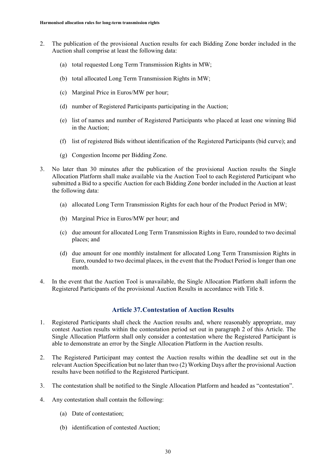- 2. The publication of the provisional Auction results for each Bidding Zone border included in the Auction shall comprise at least the following data:
	- (a) total requested Long Term Transmission Rights in MW;
	- (b) total allocated Long Term Transmission Rights in MW;
	- (c) Marginal Price in Euros/MW per hour;
	- (d) number of Registered Participants participating in the Auction;
	- (e) list of names and number of Registered Participants who placed at least one winning Bid in the Auction;
	- (f) list of registered Bids without identification of the Registered Participants (bid curve); and
	- (g) Congestion Income per Bidding Zone.
- 3. No later than 30 minutes after the publication of the provisional Auction results the Single Allocation Platform shall make available via the Auction Tool to each Registered Participant who submitted a Bid to a specific Auction for each Bidding Zone border included in the Auction at least the following data:
	- (a) allocated Long Term Transmission Rights for each hour of the Product Period in MW;
	- (b) Marginal Price in Euros/MW per hour; and
	- (c) due amount for allocated Long Term Transmission Rights in Euro, rounded to two decimal places; and
	- (d) due amount for one monthly instalment for allocated Long Term Transmission Rights in Euro, rounded to two decimal places, in the event that the Product Period is longer than one month.
- 4. In the event that the Auction Tool is unavailable, the Single Allocation Platform shall inform the Registered Participants of the provisional Auction Results in accordance with Title 8.

#### **Article 37.Contestation of Auction Results**

- 1. Registered Participants shall check the Auction results and, where reasonably appropriate, may contest Auction results within the contestation period set out in paragraph 2 of this Article. The Single Allocation Platform shall only consider a contestation where the Registered Participant is able to demonstrate an error by the Single Allocation Platform in the Auction results.
- 2. The Registered Participant may contest the Auction results within the deadline set out in the relevant Auction Specification but no later than two (2) Working Days after the provisional Auction results have been notified to the Registered Participant.
- 3. The contestation shall be notified to the Single Allocation Platform and headed as "contestation".
- 4. Any contestation shall contain the following:
	- (a) Date of contestation;
	- (b) identification of contested Auction;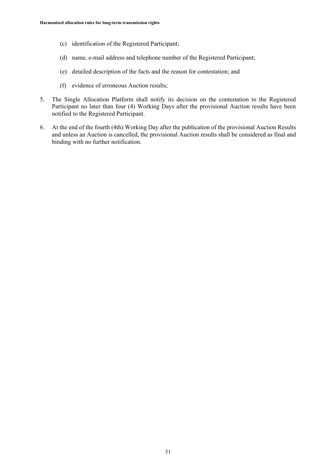- (c) identification of the Registered Participant;
- (d) name, e-mail address and telephone number of the Registered Participant;
- (e) detailed description of the facts and the reason for contestation; and
- (f) evidence of erroneous Auction results;
- 5. The Single Allocation Platform shall notify its decision on the contestation to the Registered Participant no later than four (4) Working Days after the provisional Auction results have been notified to the Registered Participant.
- 6. At the end of the fourth (4th) Working Day after the publication of the provisional Auction Results and unless an Auction is cancelled, the provisional Auction results shall be considered as final and binding with no further notification.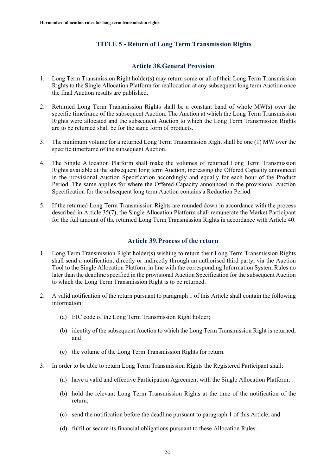# **TITLE 5 - Return of Long Term Transmission Rights**

#### **Article 38.General Provision**

- 1. Long Term Transmission Right holder(s) may return some or all of their Long Term Transmission Rights to the Single Allocation Platform for reallocation at any subsequent long term Auction once the final Auction results are published.
- 2. Returned Long Term Transmission Rights shall be a constant band of whole MW(s) over the specific timeframe of the subsequent Auction. The Auction at which the Long Term Transmission Rights were allocated and the subsequent Auction to which the Long Term Transmission Rights are to be returned shall be for the same form of products.
- 3. The minimum volume for a returned Long Term Transmission Right shall be one (1) MW over the specific timeframe of the subsequent Auction.
- 4. The Single Allocation Platform shall make the volumes of returned Long Term Transmission Rights available at the subsequent long term Auction, increasing the Offered Capacity announced in the provisional Auction Specification accordingly and equally for each hour of the Product Period. The same applies for where the Offered Capacity announced in the provisional Auction Specification for the subsequent long term Auction contains a Reduction Period.
- 5. If the returned Long Term Transmission Rights are rounded down in accordance with the process described in Article 35(7), the Single Allocation Platform shall remunerate the Market Participant for the full amount of the returned Long Term Transmission Rights in accordance with Article 40.

#### **Article 39.Process of the return**

- 1. Long Term Transmission Right holder(s) wishing to return their Long Term Transmission Rights shall send a notification, directly or indirectly through an authorised third party, via the Auction Tool to the Single Allocation Platform in line with the corresponding Information System Rules no later than the deadline specified in the provisional Auction Specification for the subsequent Auction to which the Long Term Transmission Right is to be returned.
- 2. A valid notification of the return pursuant to paragraph 1 of this Article shall contain the following information:
	- (a) EIC code of the Long Term Transmission Right holder;
	- (b) identity of the subsequent Auction to which the Long Term Transmission Right is returned; and
	- (c) the volume of the Long Term Transmission Rights for return.
- 3. In order to be able to return Long Term Transmission Rights the Registered Participant shall:
	- (a) have a valid and effective Participation Agreement with the Single Allocation Platform;
	- (b) hold the relevant Long Term Transmission Rights at the time of the notification of the return;
	- (c) send the notification before the deadline pursuant to paragraph 1 of this Article; and
	- (d) fulfil or secure its financial obligations pursuant to these Allocation Rules .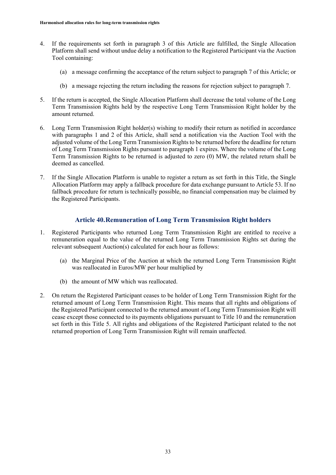- 4. If the requirements set forth in paragraph 3 of this Article are fulfilled, the Single Allocation Platform shall send without undue delay a notification to the Registered Participant via the Auction Tool containing:
	- (a) a message confirming the acceptance of the return subject to paragraph 7 of this Article; or
	- (b) a message rejecting the return including the reasons for rejection subject to paragraph 7.
- 5. If the return is accepted, the Single Allocation Platform shall decrease the total volume of the Long Term Transmission Rights held by the respective Long Term Transmission Right holder by the amount returned.
- 6. Long Term Transmission Right holder(s) wishing to modify their return as notified in accordance with paragraphs 1 and 2 of this Article, shall send a notification via the Auction Tool with the adjusted volume of the Long Term Transmission Rights to be returned before the deadline for return of Long Term Transmission Rights pursuant to paragraph 1 expires. Where the volume of the Long Term Transmission Rights to be returned is adjusted to zero (0) MW, the related return shall be deemed as cancelled.
- 7. If the Single Allocation Platform is unable to register a return as set forth in this Title, the Single Allocation Platform may apply a fallback procedure for data exchange pursuant to Article 53. If no fallback procedure for return is technically possible, no financial compensation may be claimed by the Registered Participants.

# **Article 40.Remuneration of Long Term Transmission Right holders**

- 1. Registered Participants who returned Long Term Transmission Right are entitled to receive a remuneration equal to the value of the returned Long Term Transmission Rights set during the relevant subsequent Auction(s) calculated for each hour as follows:
	- (a) the Marginal Price of the Auction at which the returned Long Term Transmission Right was reallocated in Euros/MW per hour multiplied by
	- (b) the amount of MW which was reallocated.
- 2. On return the Registered Participant ceases to be holder of Long Term Transmission Right for the returned amount of Long Term Transmission Right. This means that all rights and obligations of the Registered Participant connected to the returned amount of Long Term Transmission Right will cease except those connected to its payments obligations pursuant to Title 10 and the remuneration set forth in this Title 5. All rights and obligations of the Registered Participant related to the not returned proportion of Long Term Transmission Right will remain unaffected.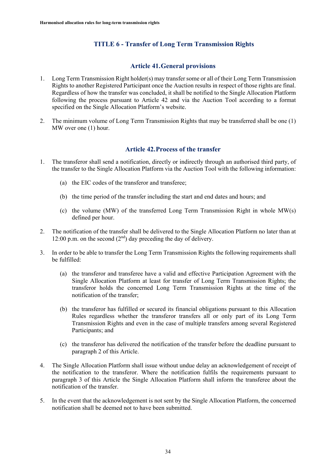# **TITLE 6 - Transfer of Long Term Transmission Rights**

#### **Article 41.General provisions**

- 1. Long Term Transmission Right holder(s) may transfer some or all of their Long Term Transmission Rights to another Registered Participant once the Auction results in respect of those rights are final. Regardless of how the transfer was concluded, it shall be notified to the Single Allocation Platform following the process pursuant to Article 42 and via the Auction Tool according to a format specified on the Single Allocation Platform's website.
- 2. The minimum volume of Long Term Transmission Rights that may be transferred shall be one (1) MW over one (1) hour.

#### **Article 42.Process of the transfer**

- 1. The transferor shall send a notification, directly or indirectly through an authorised third party, of the transfer to the Single Allocation Platform via the Auction Tool with the following information:
	- (a) the EIC codes of the transferor and transferee;
	- (b) the time period of the transfer including the start and end dates and hours; and
	- (c) the volume (MW) of the transferred Long Term Transmission Right in whole MW(s) defined per hour.
- 2. The notification of the transfer shall be delivered to the Single Allocation Platform no later than at 12:00 p.m. on the second  $(2<sup>nd</sup>)$  day preceding the day of delivery.
- 3. In order to be able to transfer the Long Term Transmission Rights the following requirements shall be fulfilled:
	- (a) the transferor and transferee have a valid and effective Participation Agreement with the Single Allocation Platform at least for transfer of Long Term Transmission Rights; the transferor holds the concerned Long Term Transmission Rights at the time of the notification of the transfer;
	- (b) the transferor has fulfilled or secured its financial obligations pursuant to this Allocation Rules regardless whether the transferor transfers all or only part of its Long Term Transmission Rights and even in the case of multiple transfers among several Registered Participants; and
	- (c) the transferor has delivered the notification of the transfer before the deadline pursuant to paragraph 2 of this Article.
- 4. The Single Allocation Platform shall issue without undue delay an acknowledgement of receipt of the notification to the transferor. Where the notification fulfils the requirements pursuant to paragraph 3 of this Article the Single Allocation Platform shall inform the transferee about the notification of the transfer.
- 5. In the event that the acknowledgement is not sent by the Single Allocation Platform, the concerned notification shall be deemed not to have been submitted.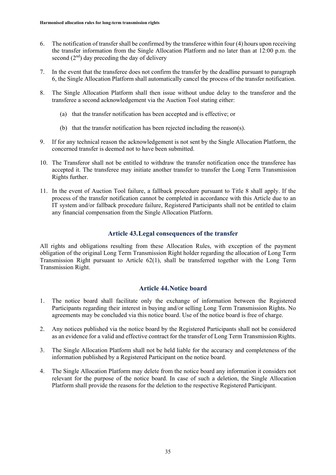- 6. The notification of transfer shall be confirmed by the transferee within four (4) hours upon receiving the transfer information from the Single Allocation Platform and no later than at 12:00 p.m. the second  $(2<sup>nd</sup>)$  day preceding the day of delivery
- 7. In the event that the transferee does not confirm the transfer by the deadline pursuant to paragraph 6, the Single Allocation Platform shall automatically cancel the process of the transfer notification.
- 8. The Single Allocation Platform shall then issue without undue delay to the transferor and the transferee a second acknowledgement via the Auction Tool stating either:
	- (a) that the transfer notification has been accepted and is effective; or
	- (b) that the transfer notification has been rejected including the reason(s).
- 9. If for any technical reason the acknowledgement is not sent by the Single Allocation Platform, the concerned transfer is deemed not to have been submitted.
- 10. The Transferor shall not be entitled to withdraw the transfer notification once the transferee has accepted it. The transferee may initiate another transfer to transfer the Long Term Transmission Rights further.
- 11. In the event of Auction Tool failure, a fallback procedure pursuant to Title 8 shall apply. If the process of the transfer notification cannot be completed in accordance with this Article due to an IT system and/or fallback procedure failure, Registered Participants shall not be entitled to claim any financial compensation from the Single Allocation Platform.

# **Article 43.Legal consequences of the transfer**

All rights and obligations resulting from these Allocation Rules, with exception of the payment obligation of the original Long Term Transmission Right holder regarding the allocation of Long Term Transmission Right pursuant to Article 62(1), shall be transferred together with the Long Term Transmission Right.

#### **Article 44.Notice board**

- 1. The notice board shall facilitate only the exchange of information between the Registered Participants regarding their interest in buying and/or selling Long Term Transmission Rights. No agreements may be concluded via this notice board. Use of the notice board is free of charge.
- 2. Any notices published via the notice board by the Registered Participants shall not be considered as an evidence for a valid and effective contract for the transfer of Long Term Transmission Rights.
- 3. The Single Allocation Platform shall not be held liable for the accuracy and completeness of the information published by a Registered Participant on the notice board.
- 4. The Single Allocation Platform may delete from the notice board any information it considers not relevant for the purpose of the notice board. In case of such a deletion, the Single Allocation Platform shall provide the reasons for the deletion to the respective Registered Participant.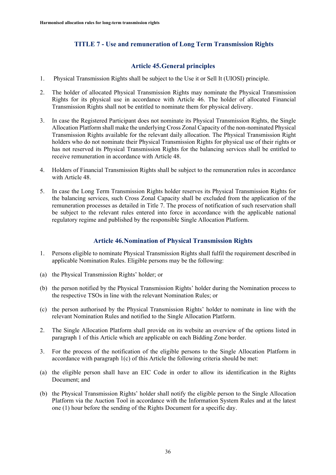# **TITLE 7 - Use and remuneration of Long Term Transmission Rights**

#### **Article 45.General principles**

- 1. Physical Transmission Rights shall be subject to the Use it or Sell It (UIOSI) principle.
- 2. The holder of allocated Physical Transmission Rights may nominate the Physical Transmission Rights for its physical use in accordance with Article 46. The holder of allocated Financial Transmission Rights shall not be entitled to nominate them for physical delivery.
- 3. In case the Registered Participant does not nominate its Physical Transmission Rights, the Single Allocation Platform shall make the underlying Cross Zonal Capacity of the non-nominated Physical Transmission Rights available for the relevant daily allocation. The Physical Transmission Right holders who do not nominate their Physical Transmission Rights for physical use of their rights or has not reserved its Physical Transmission Rights for the balancing services shall be entitled to receive remuneration in accordance with Article 48.
- 4. Holders of Financial Transmission Rights shall be subject to the remuneration rules in accordance with Article 48.
- 5. In case the Long Term Transmission Rights holder reserves its Physical Transmission Rights for the balancing services, such Cross Zonal Capacity shall be excluded from the application of the remuneration processes as detailed in Title 7. The process of notification of such reservation shall be subject to the relevant rules entered into force in accordance with the applicable national regulatory regime and published by the responsible Single Allocation Platform.

#### **Article 46.Nomination of Physical Transmission Rights**

- 1. Persons eligible to nominate Physical Transmission Rights shall fulfil the requirement described in applicable Nomination Rules. Eligible persons may be the following:
- (a) the Physical Transmission Rights' holder; or
- (b) the person notified by the Physical Transmission Rights' holder during the Nomination process to the respective TSOs in line with the relevant Nomination Rules; or
- (c) the person authorised by the Physical Transmission Rights' holder to nominate in line with the relevant Nomination Rules and notified to the Single Allocation Platform.
- 2. The Single Allocation Platform shall provide on its website an overview of the options listed in paragraph 1 of this Article which are applicable on each Bidding Zone border.
- 3. For the process of the notification of the eligible persons to the Single Allocation Platform in accordance with paragraph 1(c) of this Article the following criteria should be met:
- (a) the eligible person shall have an EIC Code in order to allow its identification in the Rights Document; and
- (b) the Physical Transmission Rights' holder shall notify the eligible person to the Single Allocation Platform via the Auction Tool in accordance with the Information System Rules and at the latest one (1) hour before the sending of the Rights Document for a specific day.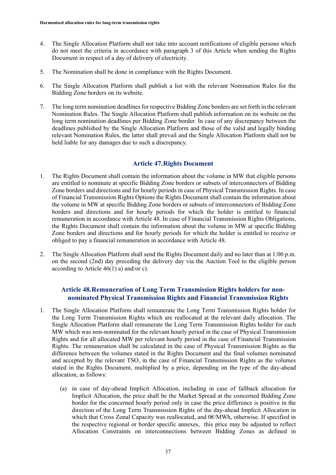- 4. The Single Allocation Platform shall not take into account notifications of eligible persons which do not meet the criteria in accordance with paragraph 3 of this Article when sending the Rights Document in respect of a day of delivery of electricity.
- 5. The Nomination shall be done in compliance with the Rights Document.
- 6. The Single Allocation Platform shall publish a list with the relevant Nomination Rules for the Bidding Zone borders on its website.
- 7. The long term nomination deadlines for respective Bidding Zone borders are set forth in the relevant Nomination Rules. The Single Allocation Platform shall publish information on its website on the long term nomination deadlines per Bidding Zone border. In case of any discrepancy between the deadlines published by the Single Allocation Platform and those of the valid and legally binding relevant Nomination Rules, the latter shall prevail and the Single Allocation Platform shall not be held liable for any damages due to such a discrepancy.

#### **Article 47.Rights Document**

- 1. The Rights Document shall contain the information about the volume in MW that eligible persons are entitled to nominate at specific Bidding Zone borders or subsets of interconnectors of Bidding Zone borders and directions and for hourly periods in case of Physical Transmission Rights. In case of Financial Transmission Rights Options the Rights Document shall contain the information about the volume in MW at specific Bidding Zone borders or subsets of interconnectors of Bidding Zone borders and directions and for hourly periods for which the holder is entitled to financial remuneration in accordance with Article 48. In case of Financial Transmission Rights Obligations, the Rights Document shall contain the information about the volume in MW at specific Bidding Zone borders and directions and for hourly periods for which the holder is entitled to receive or obliged to pay a financial remuneration in accordance with Article 48.
- 2. The Single Allocation Platform shall send the Rights Document daily and no later than at 1:00 p.m. on the second (2nd) day preceding the delivery day via the Auction Tool to the eligible person according to Article  $46(1)$  a) and/or c).

# **Article 48.Remuneration of Long Term Transmission Rights holders for nonnominated Physical Transmission Rights and Financial Transmission Rights**

- 1. The Single Allocation Platform shall remunerate the Long Term Transmission Rights holder for the Long Term Transmission Rights which are reallocated at the relevant daily allocation. The Single Allocation Platform shall remunerate the Long Term Transmission Rights holder for each MW which was non-nominated for the relevant hourly period in the case of Physical Transmission Rights and for all allocated MW per relevant hourly period in the case of Financial Transmission Rights. The remuneration shall be calculated in the case of Physical Transmission Rights as the difference between the volumes stated in the Rights Document and the final volumes nominated and accepted by the relevant TSO, in the case of Financial Transmission Rights as the volumes stated in the Rights Document, multiplied by a price, depending on the type of the day-ahead allocation, as follows:
	- (a) in case of day-ahead Implicit Allocation, including in case of fallback allocation for Implicit Allocation, the price shall be the Market Spread at the concerned Bidding Zone border for the concerned hourly period only in case the price difference is positive in the direction of the Long Term Transmission Rights of the day-ahead Implicit Allocation in which that Cross Zonal Capacity was reallocated, and 0€/MWh, otherwise. If specified in the respective regional or border specific annexes, this price may be adjusted to reflect Allocation Constraints on interconnections between Bidding Zones as defined in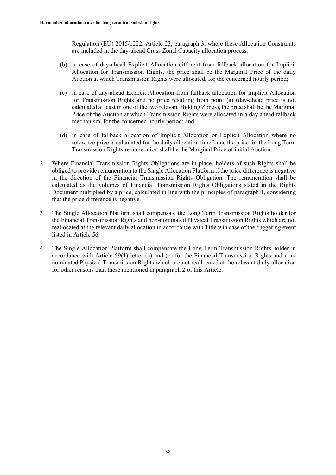Regulation (EU) 2015/1222, Article 23, paragraph 3, where these Allocation Constraints are included in the day-ahead Cross Zonal Capacity allocation process.

- (b) in case of day-ahead Explicit Allocation different from fallback allocation for Implicit Allocation for Transmission Rights, the price shall be the Marginal Price of the daily Auction at which Transmission Rights were allocated, for the concerned hourly period;
- (c) in case of day-ahead Explicit Allocation from fallback allocation for Implicit Allocation for Transmission Rights and no price resulting from point (a) (day-ahead price is not calculated at least in one of the two relevant Bidding Zones), the price shall be the Marginal Price of the Auction at which Transmission Rights were allocated in a day ahead fallback mechanism, for the concerned hourly period; and
- (d) in case of fallback allocation of Implicit Allocation or Explicit Allocation where no reference price is calculated for the daily allocation timeframe the price for the Long Term Transmission Rights remuneration shall be the Marginal Price of initial Auction.
- 2. Where Financial Transmission Rights Obligations are in place, holders of such Rights shall be obliged to provide remuneration to the Single Allocation Platform if the price difference is negative in the direction of the Financial Transmission Rights Obligation. The remuneration shall be calculated as the volumes of Financial Transmission Rights Obligations stated in the Rights Document multiplied by a price, calculated in line with the principles of paragraph 1, considering that the price difference is negative.
- 3. The Single Allocation Platform shall compensate the Long Term Transmission Rights holder for the Financial Transmission Rights and non-nominated Physical Transmission Rights which are not reallocated at the relevant daily allocation in accordance with Title 9 in case of the triggering event listed in Article 56.
- 4. The Single Allocation Platform shall compensate the Long Term Transmission Rights holder in accordance with Article 59(1) letter (a) and (b) for the Financial Transmission Rights and nonnominated Physical Transmission Rights which are not reallocated at the relevant daily allocation for other reasons than these mentioned in paragraph 2 of this Article.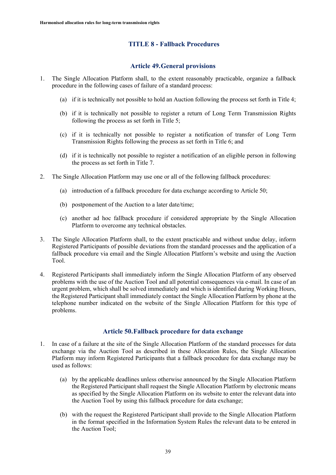# **TITLE 8 - Fallback Procedures**

#### **Article 49.General provisions**

- 1. The Single Allocation Platform shall, to the extent reasonably practicable, organize a fallback procedure in the following cases of failure of a standard process:
	- (a) if it is technically not possible to hold an Auction following the process set forth in Title 4;
	- (b) if it is technically not possible to register a return of Long Term Transmission Rights following the process as set forth in Title 5;
	- (c) if it is technically not possible to register a notification of transfer of Long Term Transmission Rights following the process as set forth in Title 6; and
	- (d) if it is technically not possible to register a notification of an eligible person in following the process as set forth in Title 7.
- 2. The Single Allocation Platform may use one or all of the following fallback procedures:
	- (a) introduction of a fallback procedure for data exchange according to Article 50;
	- (b) postponement of the Auction to a later date/time;
	- (c) another ad hoc fallback procedure if considered appropriate by the Single Allocation Platform to overcome any technical obstacles.
- 3. The Single Allocation Platform shall, to the extent practicable and without undue delay, inform Registered Participants of possible deviations from the standard processes and the application of a fallback procedure via email and the Single Allocation Platform's website and using the Auction Tool.
- 4. Registered Participants shall immediately inform the Single Allocation Platform of any observed problems with the use of the Auction Tool and all potential consequences via e-mail. In case of an urgent problem, which shall be solved immediately and which is identified during Working Hours, the Registered Participant shall immediately contact the Single Allocation Platform by phone at the telephone number indicated on the website of the Single Allocation Platform for this type of problems.

#### **Article 50.Fallback procedure for data exchange**

- 1. In case of a failure at the site of the Single Allocation Platform of the standard processes for data exchange via the Auction Tool as described in these Allocation Rules, the Single Allocation Platform may inform Registered Participants that a fallback procedure for data exchange may be used as follows:
	- (a) by the applicable deadlines unless otherwise announced by the Single Allocation Platform the Registered Participant shall request the Single Allocation Platform by electronic means as specified by the Single Allocation Platform on its website to enter the relevant data into the Auction Tool by using this fallback procedure for data exchange;
	- (b) with the request the Registered Participant shall provide to the Single Allocation Platform in the format specified in the Information System Rules the relevant data to be entered in the Auction Tool;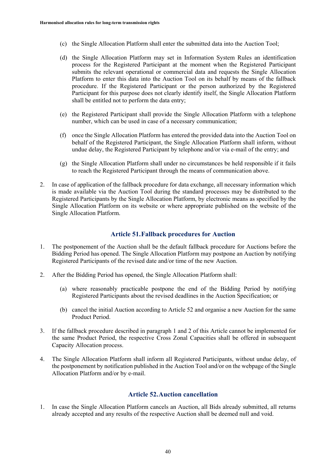- (c) the Single Allocation Platform shall enter the submitted data into the Auction Tool;
- (d) the Single Allocation Platform may set in Information System Rules an identification process for the Registered Participant at the moment when the Registered Participant submits the relevant operational or commercial data and requests the Single Allocation Platform to enter this data into the Auction Tool on its behalf by means of the fallback procedure. If the Registered Participant or the person authorized by the Registered Participant for this purpose does not clearly identify itself, the Single Allocation Platform shall be entitled not to perform the data entry;
- (e) the Registered Participant shall provide the Single Allocation Platform with a telephone number, which can be used in case of a necessary communication;
- (f) once the Single Allocation Platform has entered the provided data into the Auction Tool on behalf of the Registered Participant, the Single Allocation Platform shall inform, without undue delay, the Registered Participant by telephone and/or via e-mail of the entry; and
- (g) the Single Allocation Platform shall under no circumstances be held responsible if it fails to reach the Registered Participant through the means of communication above.
- 2. In case of application of the fallback procedure for data exchange, all necessary information which is made available via the Auction Tool during the standard processes may be distributed to the Registered Participants by the Single Allocation Platform, by electronic means as specified by the Single Allocation Platform on its website or where appropriate published on the website of the Single Allocation Platform.

#### **Article 51.Fallback procedures for Auction**

- 1. The postponement of the Auction shall be the default fallback procedure for Auctions before the Bidding Period has opened. The Single Allocation Platform may postpone an Auction by notifying Registered Participants of the revised date and/or time of the new Auction.
- 2. After the Bidding Period has opened, the Single Allocation Platform shall:
	- (a) where reasonably practicable postpone the end of the Bidding Period by notifying Registered Participants about the revised deadlines in the Auction Specification; or
	- (b) cancel the initial Auction according to Article 52 and organise a new Auction for the same Product Period.
- 3. If the fallback procedure described in paragraph 1 and 2 of this Article cannot be implemented for the same Product Period, the respective Cross Zonal Capacities shall be offered in subsequent Capacity Allocation process.
- 4. The Single Allocation Platform shall inform all Registered Participants, without undue delay, of the postponement by notification published in the Auction Tool and/or on the webpage of the Single Allocation Platform and/or by e-mail.

#### **Article 52.Auction cancellation**

1. In case the Single Allocation Platform cancels an Auction, all Bids already submitted, all returns already accepted and any results of the respective Auction shall be deemed null and void.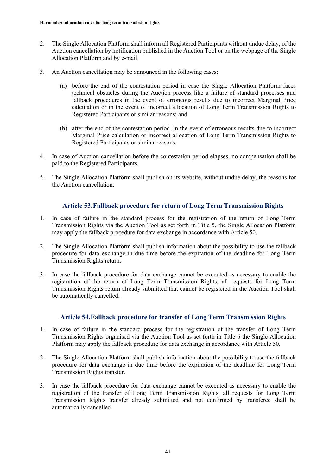- 2. The Single Allocation Platform shall inform all Registered Participants without undue delay, of the Auction cancellation by notification published in the Auction Tool or on the webpage of the Single Allocation Platform and by e-mail.
- 3. An Auction cancellation may be announced in the following cases:
	- (a) before the end of the contestation period in case the Single Allocation Platform faces technical obstacles during the Auction process like a failure of standard processes and fallback procedures in the event of erroneous results due to incorrect Marginal Price calculation or in the event of incorrect allocation of Long Term Transmission Rights to Registered Participants or similar reasons; and
	- (b) after the end of the contestation period, in the event of erroneous results due to incorrect Marginal Price calculation or incorrect allocation of Long Term Transmission Rights to Registered Participants or similar reasons.
- 4. In case of Auction cancellation before the contestation period elapses, no compensation shall be paid to the Registered Participants.
- 5. The Single Allocation Platform shall publish on its website, without undue delay, the reasons for the Auction cancellation.

# **Article 53.Fallback procedure for return of Long Term Transmission Rights**

- 1. In case of failure in the standard process for the registration of the return of Long Term Transmission Rights via the Auction Tool as set forth in Title 5, the Single Allocation Platform may apply the fallback procedure for data exchange in accordance with Article 50.
- 2. The Single Allocation Platform shall publish information about the possibility to use the fallback procedure for data exchange in due time before the expiration of the deadline for Long Term Transmission Rights return.
- 3. In case the fallback procedure for data exchange cannot be executed as necessary to enable the registration of the return of Long Term Transmission Rights, all requests for Long Term Transmission Rights return already submitted that cannot be registered in the Auction Tool shall be automatically cancelled.

#### **Article 54.Fallback procedure for transfer of Long Term Transmission Rights**

- 1. In case of failure in the standard process for the registration of the transfer of Long Term Transmission Rights organised via the Auction Tool as set forth in Title 6 the Single Allocation Platform may apply the fallback procedure for data exchange in accordance with Article 50.
- 2. The Single Allocation Platform shall publish information about the possibility to use the fallback procedure for data exchange in due time before the expiration of the deadline for Long Term Transmission Rights transfer.
- 3. In case the fallback procedure for data exchange cannot be executed as necessary to enable the registration of the transfer of Long Term Transmission Rights, all requests for Long Term Transmission Rights transfer already submitted and not confirmed by transferee shall be automatically cancelled.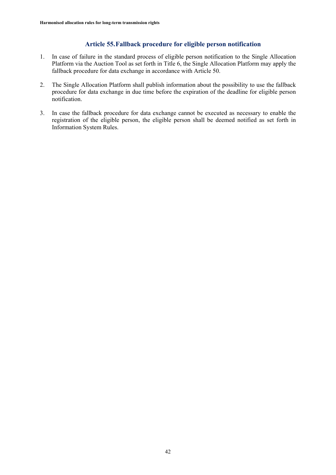#### **Article 55.Fallback procedure for eligible person notification**

- 1. In case of failure in the standard process of eligible person notification to the Single Allocation Platform via the Auction Tool as set forth in Title 6, the Single Allocation Platform may apply the fallback procedure for data exchange in accordance with Article 50.
- 2. The Single Allocation Platform shall publish information about the possibility to use the fallback procedure for data exchange in due time before the expiration of the deadline for eligible person notification.
- 3. In case the fallback procedure for data exchange cannot be executed as necessary to enable the registration of the eligible person, the eligible person shall be deemed notified as set forth in Information System Rules.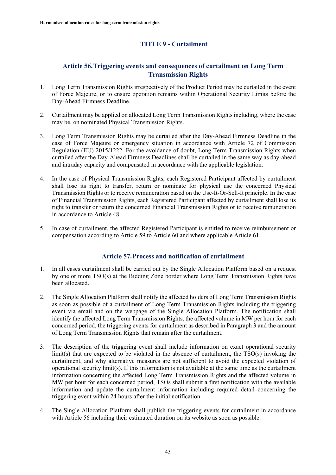# **TITLE 9 - Curtailment**

# **Article 56.Triggering events and consequences of curtailment on Long Term Transmission Rights**

- 1. Long Term Transmission Rights irrespectively of the Product Period may be curtailed in the event of Force Majeure, or to ensure operation remains within Operational Security Limits before the Day-Ahead Firmness Deadline.
- 2. Curtailment may be applied on allocated Long Term Transmission Rights including, where the case may be, on nominated Physical Transmission Rights.
- 3. Long Term Transmission Rights may be curtailed after the Day-Ahead Firmness Deadline in the case of Force Majeure or emergency situation in accordance with Article 72 of Commission Regulation (EU) 2015/1222. For the avoidance of doubt, Long Term Transmission Rights when curtailed after the Day-Ahead Firmness Deadlines shall be curtailed in the same way as day-ahead and intraday capacity and compensated in accordance with the applicable legislation.
- 4. In the case of Physical Transmission Rights, each Registered Participant affected by curtailment shall lose its right to transfer, return or nominate for physical use the concerned Physical Transmission Rights or to receive remuneration based on the Use-It-Or-Sell-It principle. In the case of Financial Transmission Rights, each Registered Participant affected by curtailment shall lose its right to transfer or return the concerned Financial Transmission Rights or to receive remuneration in accordance to Article 48.
- 5. In case of curtailment, the affected Registered Participant is entitled to receive reimbursement or compensation according to Article 59 to Article 60 and where applicable Article 61.

# **Article 57.Process and notification of curtailment**

- 1. In all cases curtailment shall be carried out by the Single Allocation Platform based on a request by one or more TSO(s) at the Bidding Zone border where Long Term Transmission Rights have been allocated.
- 2. The Single Allocation Platform shall notify the affected holders of Long Term Transmission Rights as soon as possible of a curtailment of Long Term Transmission Rights including the triggering event via email and on the webpage of the Single Allocation Platform. The notification shall identify the affected Long Term Transmission Rights, the affected volume in MW per hour for each concerned period, the triggering events for curtailment as described in Paragraph 3 and the amount of Long Term Transmission Rights that remain after the curtailment.
- 3. The description of the triggering event shall include information on exact operational security limit(s) that are expected to be violated in the absence of curtailment, the TSO(s) invoking the curtailment, and why alternative measures are not sufficient to avoid the expected violation of operational security limit(s). If this information is not available at the same time as the curtailment information concerning the affected Long Term Transmission Rights and the affected volume in MW per hour for each concerned period, TSOs shall submit a first notification with the available information and update the curtailment information including required detail concerning the triggering event within 24 hours after the initial notification.
- 4. The Single Allocation Platform shall publish the triggering events for curtailment in accordance with Article 56 including their estimated duration on its website as soon as possible.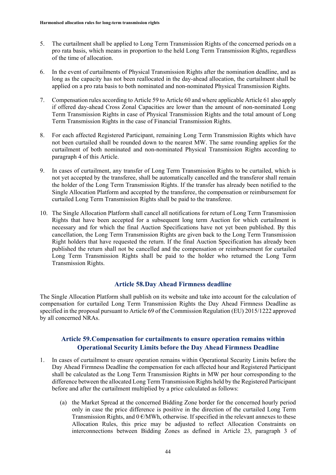- 5. The curtailment shall be applied to Long Term Transmission Rights of the concerned periods on a pro rata basis, which means in proportion to the held Long Term Transmission Rights, regardless of the time of allocation.
- 6. In the event of curtailments of Physical Transmission Rights after the nomination deadline, and as long as the capacity has not been reallocated in the day-ahead allocation, the curtailment shall be applied on a pro rata basis to both nominated and non-nominated Physical Transmission Rights.
- 7. Compensation rules according to Article 59 to Article 60 and where applicable Article 61 also apply if offered day-ahead Cross Zonal Capacities are lower than the amount of non-nominated Long Term Transmission Rights in case of Physical Transmission Rights and the total amount of Long Term Transmission Rights in the case of Financial Transmission Rights.
- 8. For each affected Registered Participant, remaining Long Term Transmission Rights which have not been curtailed shall be rounded down to the nearest MW. The same rounding applies for the curtailment of both nominated and non-nominated Physical Transmission Rights according to paragraph 4 of this Article.
- 9. In cases of curtailment, any transfer of Long Term Transmission Rights to be curtailed, which is not yet accepted by the transferee, shall be automatically cancelled and the transferor shall remain the holder of the Long Term Transmission Rights. If the transfer has already been notified to the Single Allocation Platform and accepted by the transferee, the compensation or reimbursement for curtailed Long Term Transmission Rights shall be paid to the transferee.
- 10. The Single Allocation Platform shall cancel all notifications for return of Long Term Transmission Rights that have been accepted for a subsequent long term Auction for which curtailment is necessary and for which the final Auction Specifications have not yet been published. By this cancellation, the Long Term Transmission Rights are given back to the Long Term Transmission Right holders that have requested the return. If the final Auction Specification has already been published the return shall not be cancelled and the compensation or reimbursement for curtailed Long Term Transmission Rights shall be paid to the holder who returned the Long Term Transmission Rights.

#### **Article 58.Day Ahead Firmness deadline**

The Single Allocation Platform shall publish on its website and take into account for the calculation of compensation for curtailed Long Term Transmission Rights the Day Ahead Firmness Deadline as specified in the proposal pursuant to Article 69 of the Commission Regulation (EU) 2015/1222 approved by all concerned NRAs.

# **Article 59.Compensation for curtailments to ensure operation remains within Operational Security Limits before the Day Ahead Firmness Deadline**

- 1. In cases of curtailment to ensure operation remains within Operational Security Limits before the Day Ahead Firmness Deadline the compensation for each affected hour and Registered Participant shall be calculated as the Long Term Transmission Rights in MW per hour corresponding to the difference between the allocated Long Term Transmission Rights held by the Registered Participant before and after the curtailment multiplied by a price calculated as follows:
	- (a) the Market Spread at the concerned Bidding Zone border for the concerned hourly period only in case the price difference is positive in the direction of the curtailed Long Term Transmission Rights, and  $0 \in MWh$ , otherwise. If specified in the relevant annexes to these Allocation Rules, this price may be adjusted to reflect Allocation Constraints on interconnections between Bidding Zones as defined in Article 23, paragraph 3 of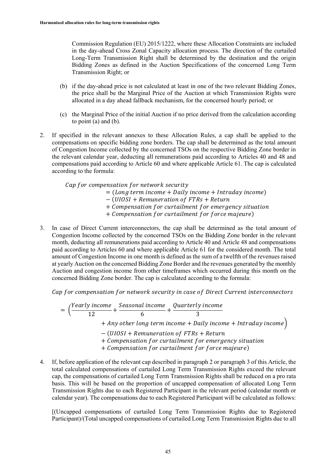Commission Regulation (EU) 2015/1222, where these Allocation Constraints are included in the day-ahead Cross Zonal Capacity allocation process. The direction of the curtailed Long-Term Transmission Right shall be determined by the destination and the origin Bidding Zones as defined in the Auction Specifications of the concerned Long Term Transmission Right; or

- (b) if the day-ahead price is not calculated at least in one of the two relevant Bidding Zones, the price shall be the Marginal Price of the Auction at which Transmission Rights were allocated in a day ahead fallback mechanism, for the concerned hourly period; or
- (c) the Marginal Price of the initial Auction if no price derived from the calculation according to point (a) and (b).
- 2. If specified in the relevant annexes to these Allocation Rules, a cap shall be applied to the compensations on specific bidding zone borders. The cap shall be determined as the total amount of Congestion Income collected by the concerned TSOs on the respective Bidding Zone border in the relevant calendar year, deducting all remunerations paid according to Articles 40 and 48 and compensations paid according to Article 60 and where applicable Article 61. The cap is calculated according to the formula:

Cap for compensation for network security

- $=$  (Long term income  $+$  Daily income  $+$  Intraday income)
- $-$  (UIOSI + Remuneration of FTRs + Return
- + Compensation for curtailment for emergency situation
- + Compensation for curtailment for force majeure)
- 3. In case of Direct Current interconnectors, the cap shall be determined as the total amount of Congestion Income collected by the concerned TSOs on the Bidding Zone border in the relevant month, deducting all remunerations paid according to Article 40 and Article 48 and compensations paid according to Articles 60 and where applicable Article 61 for the considered month. The total amount of Congestion Income in one month is defined as the sum of a twelfth of the revenues raised at yearly Auction on the concerned Bidding Zone Border and the revenues generated by the monthly Auction and congestion income from other timeframes which occurred during this month on the concerned Bidding Zone border. The cap is calculated according to the formula:

Cap for compensation for network security in case of Direct Current interconnectors

$$
= \left(\frac{Yearly\ income}{12} + \frac{Seasonal\ income}{6} + \frac{Quarterly\ income}{3} + Any\ other\ long\ term\ income + Daily\ income + Intraday\ income\right) - (UIOSI + Remuneration\ of\ FTRs + Return + Comparison for curtailment for emergency situation + Compression for curtailment for force \ major
$$

4. If, before application of the relevant cap described in paragraph 2 or paragraph 3 of this Article, the total calculated compensations of curtailed Long Term Transmission Rights exceed the relevant cap, the compensations of curtailed Long Term Transmission Rights shall be reduced on a pro rata basis. This will be based on the proportion of uncapped compensation of allocated Long Term Transmission Rights due to each Registered Participant in the relevant period (calendar month or calendar year). The compensations due to each Registered Participant will be calculated as follows:

[(Uncapped compensations of curtailed Long Term Transmission Rights due to Registered Participant)/(Total uncapped compensations of curtailed Long Term Transmission Rights due to all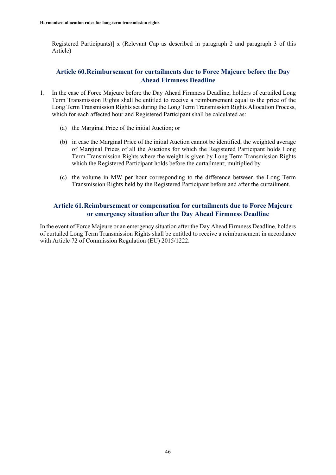Registered Participants)] x (Relevant Cap as described in paragraph 2 and paragraph 3 of this Article)

# **Article 60.Reimbursement for curtailments due to Force Majeure before the Day Ahead Firmness Deadline**

- 1. In the case of Force Majeure before the Day Ahead Firmness Deadline, holders of curtailed Long Term Transmission Rights shall be entitled to receive a reimbursement equal to the price of the Long Term Transmission Rights set during the Long Term Transmission Rights Allocation Process, which for each affected hour and Registered Participant shall be calculated as:
	- (a) the Marginal Price of the initial Auction; or
	- (b) in case the Marginal Price of the initial Auction cannot be identified, the weighted average of Marginal Prices of all the Auctions for which the Registered Participant holds Long Term Transmission Rights where the weight is given by Long Term Transmission Rights which the Registered Participant holds before the curtailment; multiplied by
	- (c) the volume in MW per hour corresponding to the difference between the Long Term Transmission Rights held by the Registered Participant before and after the curtailment.

# **Article 61.Reimbursement or compensation for curtailments due to Force Majeure or emergency situation after the Day Ahead Firmness Deadline**

In the event of Force Majeure or an emergency situation after the Day Ahead Firmness Deadline, holders of curtailed Long Term Transmission Rights shall be entitled to receive a reimbursement in accordance with Article 72 of Commission Regulation (EU) 2015/1222.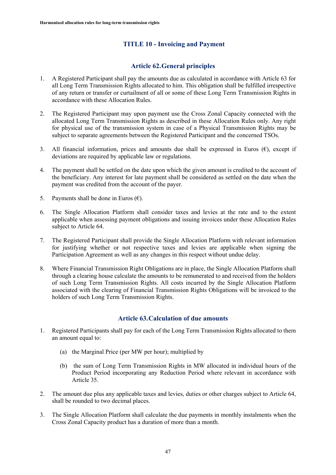# **TITLE 10 - Invoicing and Payment**

#### **Article 62.General principles**

- 1. A Registered Participant shall pay the amounts due as calculated in accordance with Article 63 for all Long Term Transmission Rights allocated to him. This obligation shall be fulfilled irrespective of any return or transfer or curtailment of all or some of these Long Term Transmission Rights in accordance with these Allocation Rules.
- 2. The Registered Participant may upon payment use the Cross Zonal Capacity connected with the allocated Long Term Transmission Rights as described in these Allocation Rules only. Any right for physical use of the transmission system in case of a Physical Transmission Rights may be subject to separate agreements between the Registered Participant and the concerned TSOs.
- 3. All financial information, prices and amounts due shall be expressed in Euros  $(\epsilon)$ , except if deviations are required by applicable law or regulations.
- 4. The payment shall be settled on the date upon which the given amount is credited to the account of the beneficiary. Any interest for late payment shall be considered as settled on the date when the payment was credited from the account of the payer.
- 5. Payments shall be done in Euros  $(\epsilon)$ .
- 6. The Single Allocation Platform shall consider taxes and levies at the rate and to the extent applicable when assessing payment obligations and issuing invoices under these Allocation Rules subject to Article 64.
- 7. The Registered Participant shall provide the Single Allocation Platform with relevant information for justifying whether or not respective taxes and levies are applicable when signing the Participation Agreement as well as any changes in this respect without undue delay.
- 8. Where Financial Transmission Right Obligations are in place, the Single Allocation Platform shall through a clearing house calculate the amounts to be remunerated to and received from the holders of such Long Term Transmission Rights. All costs incurred by the Single Allocation Platform associated with the clearing of Financial Transmission Rights Obligations will be invoiced to the holders of such Long Term Transmission Rights.

#### **Article 63.Calculation of due amounts**

- 1. Registered Participants shall pay for each of the Long Term Transmission Rights allocated to them an amount equal to:
	- (a) the Marginal Price (per MW per hour); multiplied by
	- (b) the sum of Long Term Transmission Rights in MW allocated in individual hours of the Product Period incorporating any Reduction Period where relevant in accordance with Article 35.
- 2. The amount due plus any applicable taxes and levies, duties or other charges subject to Article 64, shall be rounded to two decimal places.
- 3. The Single Allocation Platform shall calculate the due payments in monthly instalments when the Cross Zonal Capacity product has a duration of more than a month.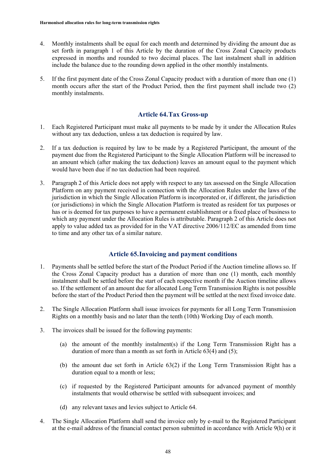- 4. Monthly instalments shall be equal for each month and determined by dividing the amount due as set forth in paragraph 1 of this Article by the duration of the Cross Zonal Capacity products expressed in months and rounded to two decimal places. The last instalment shall in addition include the balance due to the rounding down applied in the other monthly instalments.
- 5. If the first payment date of the Cross Zonal Capacity product with a duration of more than one (1) month occurs after the start of the Product Period, then the first payment shall include two (2) monthly instalments.

#### **Article 64.Tax Gross-up**

- 1. Each Registered Participant must make all payments to be made by it under the Allocation Rules without any tax deduction, unless a tax deduction is required by law.
- 2. If a tax deduction is required by law to be made by a Registered Participant, the amount of the payment due from the Registered Participant to the Single Allocation Platform will be increased to an amount which (after making the tax deduction) leaves an amount equal to the payment which would have been due if no tax deduction had been required.
- 3. Paragraph 2 of this Article does not apply with respect to any tax assessed on the Single Allocation Platform on any payment received in connection with the Allocation Rules under the laws of the jurisdiction in which the Single Allocation Platform is incorporated or, if different, the jurisdiction (or jurisdictions) in which the Single Allocation Platform is treated as resident for tax purposes or has or is deemed for tax purposes to have a permanent establishment or a fixed place of business to which any payment under the Allocation Rules is attributable. Paragraph 2 of this Article does not apply to value added tax as provided for in the VAT directive 2006/112/EC as amended from time to time and any other tax of a similar nature.

#### **Article 65.Invoicing and payment conditions**

- 1. Payments shall be settled before the start of the Product Period if the Auction timeline allows so. If the Cross Zonal Capacity product has a duration of more than one (1) month, each monthly instalment shall be settled before the start of each respective month if the Auction timeline allows so. If the settlement of an amount due for allocated Long Term Transmission Rights is not possible before the start of the Product Period then the payment will be settled at the next fixed invoice date.
- 2. The Single Allocation Platform shall issue invoices for payments for all Long Term Transmission Rights on a monthly basis and no later than the tenth (10th) Working Day of each month.
- 3. The invoices shall be issued for the following payments:
	- (a) the amount of the monthly instalment(s) if the Long Term Transmission Right has a duration of more than a month as set forth in Article 63(4) and (5);
	- (b) the amount due set forth in Article 63(2) if the Long Term Transmission Right has a duration equal to a month or less;
	- (c) if requested by the Registered Participant amounts for advanced payment of monthly instalments that would otherwise be settled with subsequent invoices; and
	- (d) any relevant taxes and levies subject to Article 64.
- 4. The Single Allocation Platform shall send the invoice only by e-mail to the Registered Participant at the e-mail address of the financial contact person submitted in accordance with Article 9(h) or it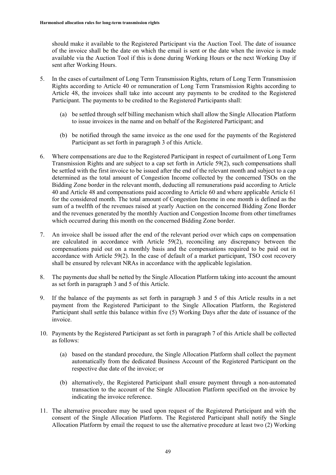should make it available to the Registered Participant via the Auction Tool. The date of issuance of the invoice shall be the date on which the email is sent or the date when the invoice is made available via the Auction Tool if this is done during Working Hours or the next Working Day if sent after Working Hours.

- 5. In the cases of curtailment of Long Term Transmission Rights, return of Long Term Transmission Rights according to Article 40 or remuneration of Long Term Transmission Rights according to Article 48, the invoices shall take into account any payments to be credited to the Registered Participant. The payments to be credited to the Registered Participants shall:
	- (a) be settled through self billing mechanism which shall allow the Single Allocation Platform to issue invoices in the name and on behalf of the Registered Participant; and
	- (b) be notified through the same invoice as the one used for the payments of the Registered Participant as set forth in paragraph 3 of this Article.
- 6. Where compensations are due to the Registered Participant in respect of curtailment of Long Term Transmission Rights and are subject to a cap set forth in Article 59(2), such compensations shall be settled with the first invoice to be issued after the end of the relevant month and subject to a cap determined as the total amount of Congestion Income collected by the concerned TSOs on the Bidding Zone border in the relevant month, deducting all remunerations paid according to Article 40 and Article 48 and compensations paid according to Article 60 and where applicable Article 61 for the considered month. The total amount of Congestion Income in one month is defined as the sum of a twelfth of the revenues raised at yearly Auction on the concerned Bidding Zone Border and the revenues generated by the monthly Auction and Congestion Income from other timeframes which occurred during this month on the concerned Bidding Zone border.
- 7. An invoice shall be issued after the end of the relevant period over which caps on compensation are calculated in accordance with Article 59(2), reconciling any discrepancy between the compensations paid out on a monthly basis and the compensations required to be paid out in accordance with Article 59(2). In the case of default of a market participant, TSO cost recovery shall be ensured by relevant NRAs in accordance with the applicable legislation.
- 8. The payments due shall be netted by the Single Allocation Platform taking into account the amount as set forth in paragraph 3 and 5 of this Article.
- 9. If the balance of the payments as set forth in paragraph 3 and 5 of this Article results in a net payment from the Registered Participant to the Single Allocation Platform, the Registered Participant shall settle this balance within five (5) Working Days after the date of issuance of the invoice.
- 10. Payments by the Registered Participant as set forth in paragraph 7 of this Article shall be collected as follows:
	- (a) based on the standard procedure, the Single Allocation Platform shall collect the payment automatically from the dedicated Business Account of the Registered Participant on the respective due date of the invoice; or
	- (b) alternatively, the Registered Participant shall ensure payment through a non-automated transaction to the account of the Single Allocation Platform specified on the invoice by indicating the invoice reference.
- 11. The alternative procedure may be used upon request of the Registered Participant and with the consent of the Single Allocation Platform. The Registered Participant shall notify the Single Allocation Platform by email the request to use the alternative procedure at least two (2) Working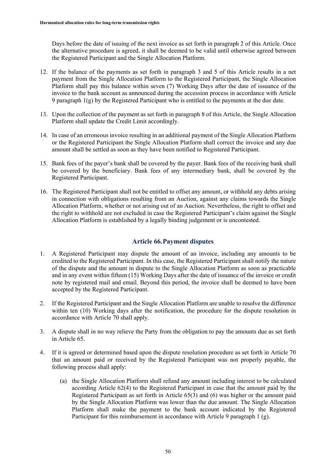Days before the date of issuing of the next invoice as set forth in paragraph 2 of this Article. Once the alternative procedure is agreed, it shall be deemed to be valid until otherwise agreed between the Registered Participant and the Single Allocation Platform.

- 12. If the balance of the payments as set forth in paragraph 3 and 5 of this Article results in a net payment from the Single Allocation Platform to the Registered Participant, the Single Allocation Platform shall pay this balance within seven (7) Working Days after the date of issuance of the invoice to the bank account as announced during the accession process in accordance with Article 9 paragraph 1(g) by the Registered Participant who is entitled to the payments at the due date.
- 13. Upon the collection of the payment as set forth in paragraph 8 of this Article, the Single Allocation Platform shall update the Credit Limit accordingly.
- 14. In case of an erroneous invoice resulting in an additional payment of the Single Allocation Platform or the Registered Participant the Single Allocation Platform shall correct the invoice and any due amount shall be settled as soon as they have been notified to Registered Participant.
- 15. Bank fees of the payer's bank shall be covered by the payer. Bank fees of the receiving bank shall be covered by the beneficiary. Bank fees of any intermediary bank, shall be covered by the Registered Participant.
- 16. The Registered Participant shall not be entitled to offset any amount, or withhold any debts arising in connection with obligations resulting from an Auction, against any claims towards the Single Allocation Platform, whether or not arising out of an Auction. Nevertheless, the right to offset and the right to withhold are not excluded in case the Registered Participant's claim against the Single Allocation Platform is established by a legally binding judgement or is uncontested.

# **Article 66.Payment disputes**

- 1. A Registered Participant may dispute the amount of an invoice, including any amounts to be credited to the Registered Participant. In this case, the Registered Participant shall notify the nature of the dispute and the amount in dispute to the Single Allocation Platform as soon as practicable and in any event within fifteen (15) Working Days after the date of issuance of the invoice or credit note by registered mail and email. Beyond this period, the invoice shall be deemed to have been accepted by the Registered Participant.
- 2. If the Registered Participant and the Single Allocation Platform are unable to resolve the difference within ten (10) Working days after the notification, the procedure for the dispute resolution in accordance with Article 70 shall apply.
- 3. A dispute shall in no way relieve the Party from the obligation to pay the amounts due as set forth in Article 65.
- 4. If it is agreed or determined based upon the dispute resolution procedure as set forth in Article 70 that an amount paid or received by the Registered Participant was not properly payable, the following process shall apply:
	- (a) the Single Allocation Platform shall refund any amount including interest to be calculated according Article 62(4) to the Registered Participant in case that the amount paid by the Registered Participant as set forth in Article 65(3) and (6) was higher or the amount paid by the Single Allocation Platform was lower than the due amount. The Single Allocation Platform shall make the payment to the bank account indicated by the Registered Participant for this reimbursement in accordance with Article 9 paragraph 1 (g).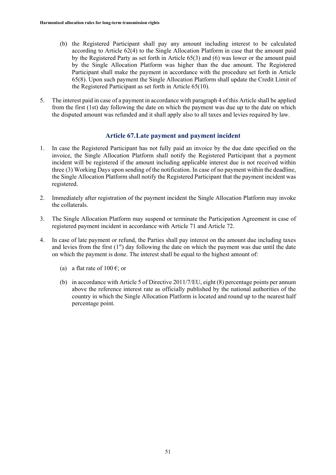- (b) the Registered Participant shall pay any amount including interest to be calculated according to Article 62(4) to the Single Allocation Platform in case that the amount paid by the Registered Party as set forth in Article 65(3) and (6) was lower or the amount paid by the Single Allocation Platform was higher than the due amount. The Registered Participant shall make the payment in accordance with the procedure set forth in Article 65(8). Upon such payment the Single Allocation Platform shall update the Credit Limit of the Registered Participant as set forth in Article 65(10).
- 5. The interest paid in case of a payment in accordance with paragraph 4 of this Article shall be applied from the first (1st) day following the date on which the payment was due up to the date on which the disputed amount was refunded and it shall apply also to all taxes and levies required by law.

# **Article 67.Late payment and payment incident**

- 1. In case the Registered Participant has not fully paid an invoice by the due date specified on the invoice, the Single Allocation Platform shall notify the Registered Participant that a payment incident will be registered if the amount including applicable interest due is not received within three (3) Working Days upon sending of the notification. In case of no payment within the deadline, the Single Allocation Platform shall notify the Registered Participant that the payment incident was registered.
- 2. Immediately after registration of the payment incident the Single Allocation Platform may invoke the collaterals.
- 3. The Single Allocation Platform may suspend or terminate the Participation Agreement in case of registered payment incident in accordance with Article 71 and Article 72.
- 4. In case of late payment or refund, the Parties shall pay interest on the amount due including taxes and levies from the first  $(1<sup>st</sup>)$  day following the date on which the payment was due until the date on which the payment is done. The interest shall be equal to the highest amount of:
	- (a) a flat rate of 100  $\epsilon$ ; or
	- (b) in accordance with Article 5 of Directive 2011/7/EU, eight (8) percentage points per annum above the reference interest rate as officially published by the national authorities of the country in which the Single Allocation Platform is located and round up to the nearest half percentage point.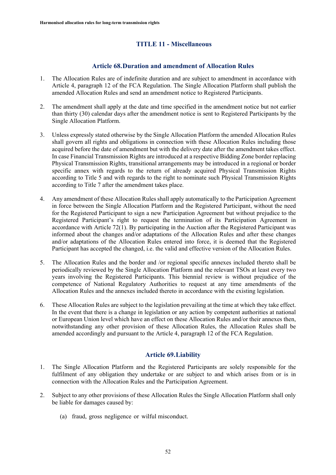# **TITLE 11 - Miscellaneous**

#### **Article 68.Duration and amendment of Allocation Rules**

- 1. The Allocation Rules are of indefinite duration and are subject to amendment in accordance with Article 4, paragraph 12 of the FCA Regulation. The Single Allocation Platform shall publish the amended Allocation Rules and send an amendment notice to Registered Participants.
- 2. The amendment shall apply at the date and time specified in the amendment notice but not earlier than thirty (30) calendar days after the amendment notice is sent to Registered Participants by the Single Allocation Platform.
- 3. Unless expressly stated otherwise by the Single Allocation Platform the amended Allocation Rules shall govern all rights and obligations in connection with these Allocation Rules including those acquired before the date of amendment but with the delivery date after the amendment takes effect. In case Financial Transmission Rights are introduced at a respective Bidding Zone border replacing Physical Transmission Rights, transitional arrangements may be introduced in a regional or border specific annex with regards to the return of already acquired Physical Transmission Rights according to Title 5 and with regards to the right to nominate such Physical Transmission Rights according to Title 7 after the amendment takes place.
- 4. Any amendment of these Allocation Rules shall apply automatically to the Participation Agreement in force between the Single Allocation Platform and the Registered Participant, without the need for the Registered Participant to sign a new Participation Agreement but without prejudice to the Registered Participant's right to request the termination of its Participation Agreement in accordance with Article 72(1). By participating in the Auction after the Registered Participant was informed about the changes and/or adaptations of the Allocation Rules and after these changes and/or adaptations of the Allocation Rules entered into force, it is deemed that the Registered Participant has accepted the changed, i.e. the valid and effective version of the Allocation Rules.
- 5. The Allocation Rules and the border and /or regional specific annexes included thereto shall be periodically reviewed by the Single Allocation Platform and the relevant TSOs at least every two years involving the Registered Participants. This biennial review is without prejudice of the competence of National Regulatory Authorities to request at any time amendments of the Allocation Rules and the annexes included thereto in accordance with the existing legislation.
- 6. These Allocation Rules are subject to the legislation prevailing at the time at which they take effect. In the event that there is a change in legislation or any action by competent authorities at national or European Union level which have an effect on these Allocation Rules and/or their annexes then, notwithstanding any other provision of these Allocation Rules, the Allocation Rules shall be amended accordingly and pursuant to the Article 4, paragraph 12 of the FCA Regulation.

#### **Article 69.Liability**

- 1. The Single Allocation Platform and the Registered Participants are solely responsible for the fulfilment of any obligation they undertake or are subject to and which arises from or is in connection with the Allocation Rules and the Participation Agreement.
- 2. Subject to any other provisions of these Allocation Rules the Single Allocation Platform shall only be liable for damages caused by:
	- (a) fraud, gross negligence or wilful misconduct.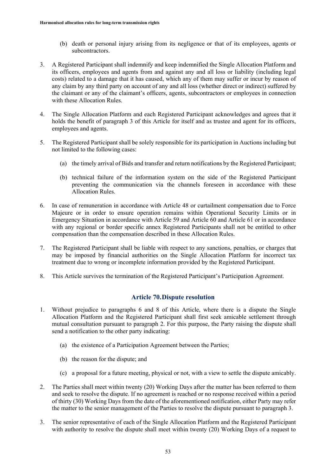- (b) death or personal injury arising from its negligence or that of its employees, agents or subcontractors.
- 3. A Registered Participant shall indemnify and keep indemnified the Single Allocation Platform and its officers, employees and agents from and against any and all loss or liability (including legal costs) related to a damage that it has caused, which any of them may suffer or incur by reason of any claim by any third party on account of any and all loss (whether direct or indirect) suffered by the claimant or any of the claimant's officers, agents, subcontractors or employees in connection with these Allocation Rules.
- 4. The Single Allocation Platform and each Registered Participant acknowledges and agrees that it holds the benefit of paragraph 3 of this Article for itself and as trustee and agent for its officers, employees and agents.
- 5. The Registered Participant shall be solely responsible for its participation in Auctions including but not limited to the following cases:
	- (a) the timely arrival of Bids and transfer and return notifications by the Registered Participant;
	- (b) technical failure of the information system on the side of the Registered Participant preventing the communication via the channels foreseen in accordance with these Allocation Rules.
- 6. In case of remuneration in accordance with Article 48 or curtailment compensation due to Force Majeure or in order to ensure operation remains within Operational Security Limits or in Emergency Situation in accordance with Article 59 and Article 60 and Article 61 or in accordance with any regional or border specific annex Registered Participants shall not be entitled to other compensation than the compensation described in these Allocation Rules.
- 7. The Registered Participant shall be liable with respect to any sanctions, penalties, or charges that may be imposed by financial authorities on the Single Allocation Platform for incorrect tax treatment due to wrong or incomplete information provided by the Registered Participant.
- 8. This Article survives the termination of the Registered Participant's Participation Agreement.

# **Article 70.Dispute resolution**

- 1. Without prejudice to paragraphs 6 and 8 of this Article, where there is a dispute the Single Allocation Platform and the Registered Participant shall first seek amicable settlement through mutual consultation pursuant to paragraph 2. For this purpose, the Party raising the dispute shall send a notification to the other party indicating:
	- (a) the existence of a Participation Agreement between the Parties;
	- (b) the reason for the dispute; and
	- (c) a proposal for a future meeting, physical or not, with a view to settle the dispute amicably.
- 2. The Parties shall meet within twenty (20) Working Days after the matter has been referred to them and seek to resolve the dispute. If no agreement is reached or no response received within a period of thirty (30) Working Days from the date of the aforementioned notification, either Party may refer the matter to the senior management of the Parties to resolve the dispute pursuant to paragraph 3.
- 3. The senior representative of each of the Single Allocation Platform and the Registered Participant with authority to resolve the dispute shall meet within twenty (20) Working Days of a request to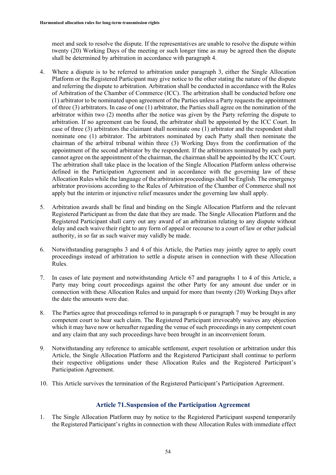meet and seek to resolve the dispute. If the representatives are unable to resolve the dispute within twenty (20) Working Days of the meeting or such longer time as may be agreed then the dispute shall be determined by arbitration in accordance with paragraph 4.

- 4. Where a dispute is to be referred to arbitration under paragraph 3, either the Single Allocation Platform or the Registered Participant may give notice to the other stating the nature of the dispute and referring the dispute to arbitration. Arbitration shall be conducted in accordance with the Rules of Arbitration of the Chamber of Commerce (ICC). The arbitration shall be conducted before one (1) arbitrator to be nominated upon agreement of the Parties unless a Party requests the appointment of three (3) arbitrators. In case of one (1) arbitrator, the Parties shall agree on the nomination of the arbitrator within two (2) months after the notice was given by the Party referring the dispute to arbitration. If no agreement can be found, the arbitrator shall be appointed by the ICC Court. In case of three (3) arbitrators the claimant shall nominate one (1) arbitrator and the respondent shall nominate one (1) arbitrator. The arbitrators nominated by each Party shall then nominate the chairman of the arbitral tribunal within three (3) Working Days from the confirmation of the appointment of the second arbitrator by the respondent. If the arbitrators nominated by each party cannot agree on the appointment of the chairman, the chairman shall be appointed by the ICC Court. The arbitration shall take place in the location of the Single Allocation Platform unless otherwise defined in the Participation Agreement and in accordance with the governing law of these Allocation Rules while the language of the arbitration proceedings shall be English. The emergency arbitrator provisions according to the Rules of Arbitration of the Chamber of Commerce shall not apply but the interim or injunctive relief measures under the governing law shall apply.
- 5. Arbitration awards shall be final and binding on the Single Allocation Platform and the relevant Registered Participant as from the date that they are made. The Single Allocation Platform and the Registered Participant shall carry out any award of an arbitration relating to any dispute without delay and each waive their right to any form of appeal or recourse to a court of law or other judicial authority, in so far as such waiver may validly be made.
- 6. Notwithstanding paragraphs 3 and 4 of this Article, the Parties may jointly agree to apply court proceedings instead of arbitration to settle a dispute arisen in connection with these Allocation Rules.
- 7. In cases of late payment and notwithstanding Article 67 and paragraphs 1 to 4 of this Article, a Party may bring court proceedings against the other Party for any amount due under or in connection with these Allocation Rules and unpaid for more than twenty (20) Working Days after the date the amounts were due.
- 8. The Parties agree that proceedings referred to in paragraph 6 or paragraph 7 may be brought in any competent court to hear such claim. The Registered Participant irrevocably waives any objection which it may have now or hereafter regarding the venue of such proceedings in any competent court and any claim that any such proceedings have been brought in an inconvenient forum.
- 9. Notwithstanding any reference to amicable settlement, expert resolution or arbitration under this Article, the Single Allocation Platform and the Registered Participant shall continue to perform their respective obligations under these Allocation Rules and the Registered Participant's Participation Agreement.
- 10. This Article survives the termination of the Registered Participant's Participation Agreement.

#### **Article 71.Suspension of the Participation Agreement**

1. The Single Allocation Platform may by notice to the Registered Participant suspend temporarily the Registered Participant's rights in connection with these Allocation Rules with immediate effect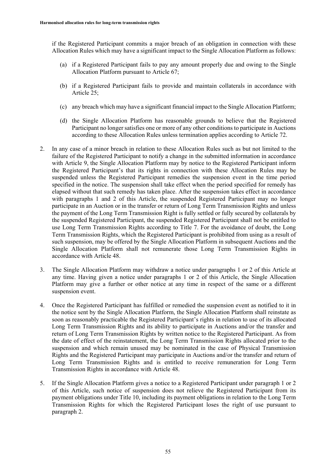if the Registered Participant commits a major breach of an obligation in connection with these Allocation Rules which may have a significant impact to the Single Allocation Platform as follows:

- (a) if a Registered Participant fails to pay any amount properly due and owing to the Single Allocation Platform pursuant to Article 67;
- (b) if a Registered Participant fails to provide and maintain collaterals in accordance with Article 25;
- (c) any breach which may have a significant financial impact to the Single Allocation Platform;
- (d) the Single Allocation Platform has reasonable grounds to believe that the Registered Participant no longer satisfies one or more of any other conditions to participate in Auctions according to these Allocation Rules unless termination applies according to Article 72.
- 2. In any case of a minor breach in relation to these Allocation Rules such as but not limited to the failure of the Registered Participant to notify a change in the submitted information in accordance with Article 9, the Single Allocation Platform may by notice to the Registered Participant inform the Registered Participant's that its rights in connection with these Allocation Rules may be suspended unless the Registered Participant remedies the suspension event in the time period specified in the notice. The suspension shall take effect when the period specified for remedy has elapsed without that such remedy has taken place. After the suspension takes effect in accordance with paragraphs 1 and 2 of this Article, the suspended Registered Participant may no longer participate in an Auction or in the transfer or return of Long Term Transmission Rights and unless the payment of the Long Term Transmission Right is fully settled or fully secured by collaterals by the suspended Registered Participant, the suspended Registered Participant shall not be entitled to use Long Term Transmission Rights according to Title 7. For the avoidance of doubt, the Long Term Transmission Rights, which the Registered Participant is prohibited from using as a result of such suspension, may be offered by the Single Allocation Platform in subsequent Auctions and the Single Allocation Platform shall not remunerate those Long Term Transmission Rights in accordance with Article 48.
- 3. The Single Allocation Platform may withdraw a notice under paragraphs 1 or 2 of this Article at any time. Having given a notice under paragraphs 1 or 2 of this Article, the Single Allocation Platform may give a further or other notice at any time in respect of the same or a different suspension event.
- 4. Once the Registered Participant has fulfilled or remedied the suspension event as notified to it in the notice sent by the Single Allocation Platform, the Single Allocation Platform shall reinstate as soon as reasonably practicable the Registered Participant's rights in relation to use of its allocated Long Term Transmission Rights and its ability to participate in Auctions and/or the transfer and return of Long Term Transmission Rights by written notice to the Registered Participant. As from the date of effect of the reinstatement, the Long Term Transmission Rights allocated prior to the suspension and which remain unused may be nominated in the case of Physical Transmission Rights and the Registered Participant may participate in Auctions and/or the transfer and return of Long Term Transmission Rights and is entitled to receive remuneration for Long Term Transmission Rights in accordance with Article 48.
- 5. If the Single Allocation Platform gives a notice to a Registered Participant under paragraph 1 or 2 of this Article, such notice of suspension does not relieve the Registered Participant from its payment obligations under Title 10, including its payment obligations in relation to the Long Term Transmission Rights for which the Registered Participant loses the right of use pursuant to paragraph 2.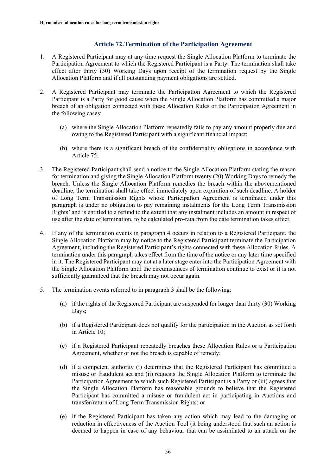#### **Article 72.Termination of the Participation Agreement**

- 1. A Registered Participant may at any time request the Single Allocation Platform to terminate the Participation Agreement to which the Registered Participant is a Party. The termination shall take effect after thirty (30) Working Days upon receipt of the termination request by the Single Allocation Platform and if all outstanding payment obligations are settled.
- 2. A Registered Participant may terminate the Participation Agreement to which the Registered Participant is a Party for good cause when the Single Allocation Platform has committed a major breach of an obligation connected with these Allocation Rules or the Participation Agreement in the following cases:
	- (a) where the Single Allocation Platform repeatedly fails to pay any amount properly due and owing to the Registered Participant with a significant financial impact;
	- (b) where there is a significant breach of the confidentiality obligations in accordance with Article 75.
- 3. The Registered Participant shall send a notice to the Single Allocation Platform stating the reason for termination and giving the Single Allocation Platform twenty (20) Working Days to remedy the breach. Unless the Single Allocation Platform remedies the breach within the abovementioned deadline, the termination shall take effect immediately upon expiration of such deadline. A holder of Long Term Transmission Rights whose Participation Agreement is terminated under this paragraph is under no obligation to pay remaining instalments for the Long Term Transmission Rights' and is entitled to a refund to the extent that any instalment includes an amount in respect of use after the date of termination, to be calculated pro-rata from the date termination takes effect.
- 4. If any of the termination events in paragraph 4 occurs in relation to a Registered Participant, the Single Allocation Platform may by notice to the Registered Participant terminate the Participation Agreement, including the Registered Participant's rights connected with these Allocation Rules. A termination under this paragraph takes effect from the time of the notice or any later time specified in it. The Registered Participant may not at a later stage enter into the Participation Agreement with the Single Allocation Platform until the circumstances of termination continue to exist or it is not sufficiently guaranteed that the breach may not occur again.
- 5. The termination events referred to in paragraph 3 shall be the following:
	- (a) if the rights of the Registered Participant are suspended for longer than thirty (30) Working Days;
	- (b) if a Registered Participant does not qualify for the participation in the Auction as set forth in Article 10;
	- (c) if a Registered Participant repeatedly breaches these Allocation Rules or a Participation Agreement, whether or not the breach is capable of remedy;
	- (d) if a competent authority (i) determines that the Registered Participant has committed a misuse or fraudulent act and (ii) requests the Single Allocation Platform to terminate the Participation Agreement to which such Registered Participant is a Party or (iii) agrees that the Single Allocation Platform has reasonable grounds to believe that the Registered Participant has committed a misuse or fraudulent act in participating in Auctions and transfer/return of Long Term Transmission Rights; or
	- (e) if the Registered Participant has taken any action which may lead to the damaging or reduction in effectiveness of the Auction Tool (it being understood that such an action is deemed to happen in case of any behaviour that can be assimilated to an attack on the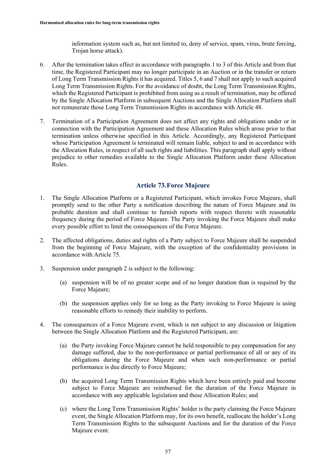information system such as, but not limited to, deny of service, spam, virus, brute forcing, Trojan horse attack).

- 6. After the termination takes effect in accordance with paragraphs 1 to 3 of this Article and from that time, the Registered Participant may no longer participate in an Auction or in the transfer or return of Long Term Transmission Rights it has acquired. Titles 5, 6 and 7 shall not apply to such acquired Long Term Transmission Rights. For the avoidance of doubt, the Long Term Transmission Rights, which the Registered Participant is prohibited from using as a result of termination, may be offered by the Single Allocation Platform in subsequent Auctions and the Single Allocation Platform shall not remunerate those Long Term Transmission Rights in accordance with Article 48.
- 7. Termination of a Participation Agreement does not affect any rights and obligations under or in connection with the Participation Agreement and these Allocation Rules which arose prior to that termination unless otherwise specified in this Article. Accordingly, any Registered Participant whose Participation Agreement is terminated will remain liable, subject to and in accordance with the Allocation Rules, in respect of all such rights and liabilities. This paragraph shall apply without prejudice to other remedies available to the Single Allocation Platform under these Allocation Rules.

#### **Article 73.Force Majeure**

- 1. The Single Allocation Platform or a Registered Participant, which invokes Force Majeure, shall promptly send to the other Party a notification describing the nature of Force Majeure and its probable duration and shall continue to furnish reports with respect thereto with reasonable frequency during the period of Force Majeure. The Party invoking the Force Majeure shall make every possible effort to limit the consequences of the Force Majeure.
- 2. The affected obligations, duties and rights of a Party subject to Force Majeure shall be suspended from the beginning of Force Majeure, with the exception of the confidentiality provisions in accordance with Article 75.
- 3. Suspension under paragraph 2 is subject to the following:
	- (a) suspension will be of no greater scope and of no longer duration than is required by the Force Majeure;
	- (b) the suspension applies only for so long as the Party invoking to Force Majeure is using reasonable efforts to remedy their inability to perform.
- 4. The consequences of a Force Majeure event, which is not subject to any discussion or litigation between the Single Allocation Platform and the Registered Participant, are:
	- (a) the Party invoking Force Majeure cannot be held responsible to pay compensation for any damage suffered, due to the non-performance or partial performance of all or any of its obligations during the Force Majeure and when such non-performance or partial performance is due directly to Force Majeure;
	- (b) the acquired Long Term Transmission Rights which have been entirely paid and become subject to Force Majeure are reimbursed for the duration of the Force Majeure in accordance with any applicable legislation and these Allocation Rules; and
	- (c) where the Long Term Transmission Rights' holder is the party claiming the Force Majeure event, the Single Allocation Platform may, for its own benefit, reallocate the holder's Long Term Transmission Rights to the subsequent Auctions and for the duration of the Force Majeure event.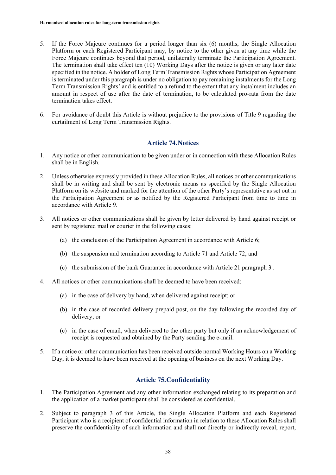- 5. If the Force Majeure continues for a period longer than six (6) months, the Single Allocation Platform or each Registered Participant may, by notice to the other given at any time while the Force Majeure continues beyond that period, unilaterally terminate the Participation Agreement. The termination shall take effect ten (10) Working Days after the notice is given or any later date specified in the notice. A holder of Long Term Transmission Rights whose Participation Agreement is terminated under this paragraph is under no obligation to pay remaining instalments for the Long Term Transmission Rights' and is entitled to a refund to the extent that any instalment includes an amount in respect of use after the date of termination, to be calculated pro-rata from the date termination takes effect.
- 6. For avoidance of doubt this Article is without prejudice to the provisions of Title 9 regarding the curtailment of Long Term Transmission Rights.

#### **Article 74.Notices**

- 1. Any notice or other communication to be given under or in connection with these Allocation Rules shall be in English.
- 2. Unless otherwise expressly provided in these Allocation Rules, all notices or other communications shall be in writing and shall be sent by electronic means as specified by the Single Allocation Platform on its website and marked for the attention of the other Party's representative as set out in the Participation Agreement or as notified by the Registered Participant from time to time in accordance with Article 9.
- 3. All notices or other communications shall be given by letter delivered by hand against receipt or sent by registered mail or courier in the following cases:
	- (a) the conclusion of the Participation Agreement in accordance with Article 6;
	- (b) the suspension and termination according to Article 71 and Article 72; and
	- (c) the submission of the bank Guarantee in accordance with Article 21 paragraph 3 .
- 4. All notices or other communications shall be deemed to have been received:
	- (a) in the case of delivery by hand, when delivered against receipt; or
	- (b) in the case of recorded delivery prepaid post, on the day following the recorded day of delivery; or
	- (c) in the case of email, when delivered to the other party but only if an acknowledgement of receipt is requested and obtained by the Party sending the e-mail.
- 5. If a notice or other communication has been received outside normal Working Hours on a Working Day, it is deemed to have been received at the opening of business on the next Working Day.

#### **Article 75.Confidentiality**

- 1. The Participation Agreement and any other information exchanged relating to its preparation and the application of a market participant shall be considered as confidential.
- 2. Subject to paragraph 3 of this Article, the Single Allocation Platform and each Registered Participant who is a recipient of confidential information in relation to these Allocation Rules shall preserve the confidentiality of such information and shall not directly or indirectly reveal, report,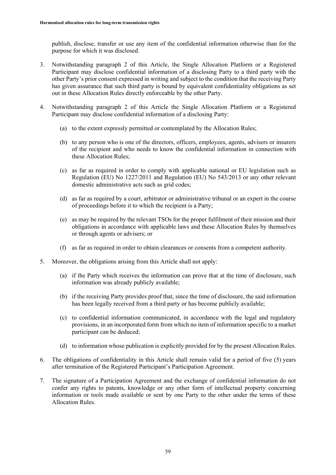publish, disclose, transfer or use any item of the confidential information otherwise than for the purpose for which it was disclosed.

- 3. Notwithstanding paragraph 2 of this Article, the Single Allocation Platform or a Registered Participant may disclose confidential information of a disclosing Party to a third party with the other Party's prior consent expressed in writing and subject to the condition that the receiving Party has given assurance that such third party is bound by equivalent confidentiality obligations as set out in these Allocation Rules directly enforceable by the other Party.
- 4. Notwithstanding paragraph 2 of this Article the Single Allocation Platform or a Registered Participant may disclose confidential information of a disclosing Party:
	- (a) to the extent expressly permitted or contemplated by the Allocation Rules;
	- (b) to any person who is one of the directors, officers, employees, agents, advisers or insurers of the recipient and who needs to know the confidential information in connection with these Allocation Rules;
	- (c) as far as required in order to comply with applicable national or EU legislation such as Regulation (EU) No 1227/2011 and Regulation (EU) No 543/2013 or any other relevant domestic administrative acts such as grid codes;
	- (d) as far as required by a court, arbitrator or administrative tribunal or an expert in the course of proceedings before it to which the recipient is a Party;
	- (e) as may be required by the relevant TSOs for the proper fulfilment of their mission and their obligations in accordance with applicable laws and these Allocation Rules by themselves or through agents or advisers; or
	- (f) as far as required in order to obtain clearances or consents from a competent authority.
- 5. Moreover, the obligations arising from this Article shall not apply:
	- (a) if the Party which receives the information can prove that at the time of disclosure, such information was already publicly available;
	- (b) if the receiving Party provides proof that, since the time of disclosure, the said information has been legally received from a third party or has become publicly available;
	- (c) to confidential information communicated, in accordance with the legal and regulatory provisions, in an incorporated form from which no item of information specific to a market participant can be deduced;
	- (d) to information whose publication is explicitly provided for by the present Allocation Rules.
- 6. The obligations of confidentiality in this Article shall remain valid for a period of five (5) years after termination of the Registered Participant's Participation Agreement.
- 7. The signature of a Participation Agreement and the exchange of confidential information do not confer any rights to patents, knowledge or any other form of intellectual property concerning information or tools made available or sent by one Party to the other under the terms of these Allocation Rules.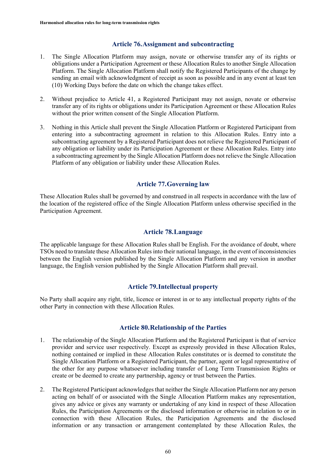#### **Article 76.Assignment and subcontracting**

- 1. The Single Allocation Platform may assign, novate or otherwise transfer any of its rights or obligations under a Participation Agreement or these Allocation Rules to another Single Allocation Platform. The Single Allocation Platform shall notify the Registered Participants of the change by sending an email with acknowledgment of receipt as soon as possible and in any event at least ten (10) Working Days before the date on which the change takes effect.
- 2. Without prejudice to Article 41, a Registered Participant may not assign, novate or otherwise transfer any of its rights or obligations under its Participation Agreement or these Allocation Rules without the prior written consent of the Single Allocation Platform.
- 3. Nothing in this Article shall prevent the Single Allocation Platform or Registered Participant from entering into a subcontracting agreement in relation to this Allocation Rules. Entry into a subcontracting agreement by a Registered Participant does not relieve the Registered Participant of any obligation or liability under its Participation Agreement or these Allocation Rules. Entry into a subcontracting agreement by the Single Allocation Platform does not relieve the Single Allocation Platform of any obligation or liability under these Allocation Rules.

# **Article 77.Governing law**

These Allocation Rules shall be governed by and construed in all respects in accordance with the law of the location of the registered office of the Single Allocation Platform unless otherwise specified in the Participation Agreement.

#### **Article 78.Language**

The applicable language for these Allocation Rules shall be English. For the avoidance of doubt, where TSOs need to translate these Allocation Rules into their national language, in the event of inconsistencies between the English version published by the Single Allocation Platform and any version in another language, the English version published by the Single Allocation Platform shall prevail.

#### **Article 79.Intellectual property**

No Party shall acquire any right, title, licence or interest in or to any intellectual property rights of the other Party in connection with these Allocation Rules.

#### **Article 80.Relationship of the Parties**

- 1. The relationship of the Single Allocation Platform and the Registered Participant is that of service provider and service user respectively. Except as expressly provided in these Allocation Rules, nothing contained or implied in these Allocation Rules constitutes or is deemed to constitute the Single Allocation Platform or a Registered Participant, the partner, agent or legal representative of the other for any purpose whatsoever including transfer of Long Term Transmission Rights or create or be deemed to create any partnership, agency or trust between the Parties.
- 2. The Registered Participant acknowledges that neither the Single Allocation Platform nor any person acting on behalf of or associated with the Single Allocation Platform makes any representation, gives any advice or gives any warranty or undertaking of any kind in respect of these Allocation Rules, the Participation Agreements or the disclosed information or otherwise in relation to or in connection with these Allocation Rules, the Participation Agreements and the disclosed information or any transaction or arrangement contemplated by these Allocation Rules, the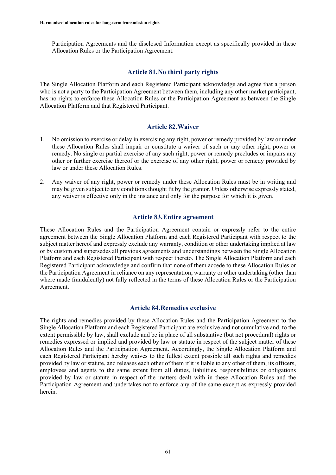Participation Agreements and the disclosed Information except as specifically provided in these Allocation Rules or the Participation Agreement.

#### **Article 81.No third party rights**

The Single Allocation Platform and each Registered Participant acknowledge and agree that a person who is not a party to the Participation Agreement between them, including any other market participant, has no rights to enforce these Allocation Rules or the Participation Agreement as between the Single Allocation Platform and that Registered Participant.

#### **Article 82.Waiver**

- 1. No omission to exercise or delay in exercising any right, power or remedy provided by law or under these Allocation Rules shall impair or constitute a waiver of such or any other right, power or remedy. No single or partial exercise of any such right, power or remedy precludes or impairs any other or further exercise thereof or the exercise of any other right, power or remedy provided by law or under these Allocation Rules.
- 2. Any waiver of any right, power or remedy under these Allocation Rules must be in writing and may be given subject to any conditions thought fit by the grantor. Unless otherwise expressly stated, any waiver is effective only in the instance and only for the purpose for which it is given.

#### **Article 83.Entire agreement**

These Allocation Rules and the Participation Agreement contain or expressly refer to the entire agreement between the Single Allocation Platform and each Registered Participant with respect to the subject matter hereof and expressly exclude any warranty, condition or other undertaking implied at law or by custom and supersedes all previous agreements and understandings between the Single Allocation Platform and each Registered Participant with respect thereto. The Single Allocation Platform and each Registered Participant acknowledge and confirm that none of them accede to these Allocation Rules or the Participation Agreement in reliance on any representation, warranty or other undertaking (other than where made fraudulently) not fully reflected in the terms of these Allocation Rules or the Participation Agreement.

#### **Article 84.Remedies exclusive**

The rights and remedies provided by these Allocation Rules and the Participation Agreement to the Single Allocation Platform and each Registered Participant are exclusive and not cumulative and, to the extent permissible by law, shall exclude and be in place of all substantive (but not procedural) rights or remedies expressed or implied and provided by law or statute in respect of the subject matter of these Allocation Rules and the Participation Agreement. Accordingly, the Single Allocation Platform and each Registered Participant hereby waives to the fullest extent possible all such rights and remedies provided by law or statute, and releases each other of them if it is liable to any other of them, its officers, employees and agents to the same extent from all duties, liabilities, responsibilities or obligations provided by law or statute in respect of the matters dealt with in these Allocation Rules and the Participation Agreement and undertakes not to enforce any of the same except as expressly provided herein.